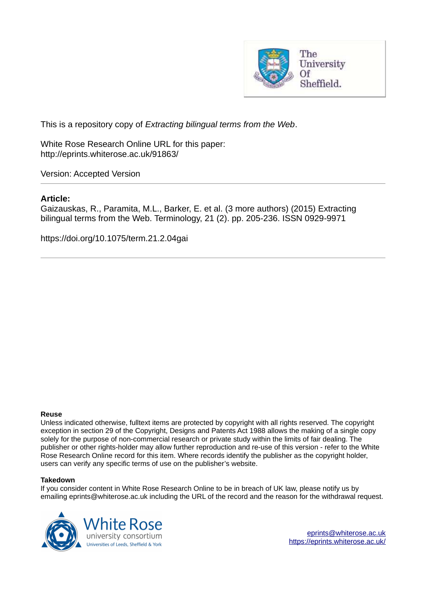

This is a repository copy of *Extracting bilingual terms from the Web*.

White Rose Research Online URL for this paper: http://eprints.whiterose.ac.uk/91863/

Version: Accepted Version

# **Article:**

Gaizauskas, R., Paramita, M.L., Barker, E. et al. (3 more authors) (2015) Extracting bilingual terms from the Web. Terminology, 21 (2). pp. 205-236. ISSN 0929-9971

https://doi.org/10.1075/term.21.2.04gai

#### **Reuse**

Unless indicated otherwise, fulltext items are protected by copyright with all rights reserved. The copyright exception in section 29 of the Copyright, Designs and Patents Act 1988 allows the making of a single copy solely for the purpose of non-commercial research or private study within the limits of fair dealing. The publisher or other rights-holder may allow further reproduction and re-use of this version - refer to the White Rose Research Online record for this item. Where records identify the publisher as the copyright holder, users can verify any specific terms of use on the publisher's website.

#### **Takedown**

If you consider content in White Rose Research Online to be in breach of UK law, please notify us by emailing eprints@whiterose.ac.uk including the URL of the record and the reason for the withdrawal request.

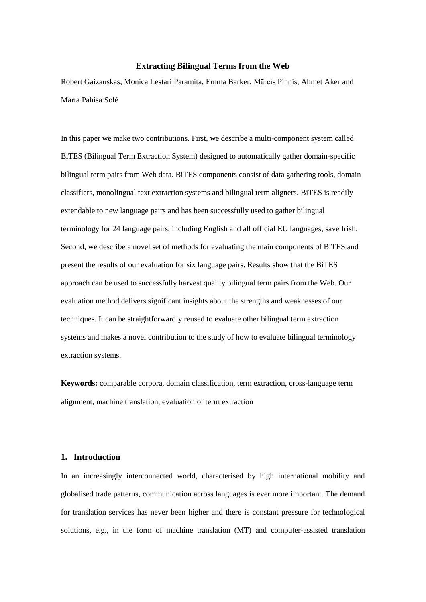## **Extracting Bilingual Terms from the Web**

Robert Gaizauskas, Monica Lestari Paramita, Emma Barker, Mārcis Pinnis, Ahmet Aker and Marta Pahisa Solé

In this paper we make two contributions. First, we describe a multi-component system called BiTES (Bilingual Term Extraction System) designed to automatically gather domain-specific bilingual term pairs from Web data. BiTES components consist of data gathering tools, domain classifiers, monolingual text extraction systems and bilingual term aligners. BiTES is readily extendable to new language pairs and has been successfully used to gather bilingual terminology for 24 language pairs, including English and all official EU languages, save Irish. Second, we describe a novel set of methods for evaluating the main components of BiTES and present the results of our evaluation for six language pairs. Results show that the BiTES approach can be used to successfully harvest quality bilingual term pairs from the Web. Our evaluation method delivers significant insights about the strengths and weaknesses of our techniques. It can be straightforwardly reused to evaluate other bilingual term extraction systems and makes a novel contribution to the study of how to evaluate bilingual terminology extraction systems.

**Keywords:** comparable corpora, domain classification, term extraction, cross-language term alignment, machine translation, evaluation of term extraction

# **1. Introduction**

In an increasingly interconnected world, characterised by high international mobility and globalised trade patterns, communication across languages is ever more important. The demand for translation services has never been higher and there is constant pressure for technological solutions, e.g., in the form of machine translation (MT) and computer-assisted translation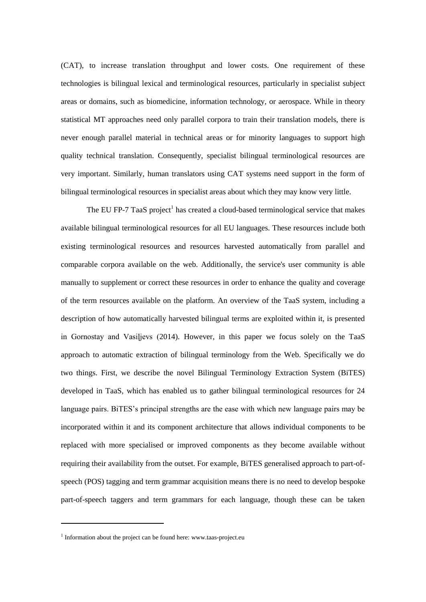(CAT), to increase translation throughput and lower costs. One requirement of these technologies is bilingual lexical and terminological resources, particularly in specialist subject areas or domains, such as biomedicine, information technology, or aerospace. While in theory statistical MT approaches need only parallel corpora to train their translation models, there is never enough parallel material in technical areas or for minority languages to support high quality technical translation. Consequently, specialist bilingual terminological resources are very important. Similarly, human translators using CAT systems need support in the form of bilingual terminological resources in specialist areas about which they may know very little.

The EU FP-7 TaaS project<sup>1</sup> has created a cloud-based terminological service that makes available bilingual terminological resources for all EU languages. These resources include both existing terminological resources and resources harvested automatically from parallel and comparable corpora available on the web. Additionally, the service's user community is able manually to supplement or correct these resources in order to enhance the quality and coverage of the term resources available on the platform. An overview of the TaaS system, including a description of how automatically harvested bilingual terms are exploited within it, is presented in Gornostay and Vasiljevs (2014). However, in this paper we focus solely on the TaaS approach to automatic extraction of bilingual terminology from the Web. Specifically we do two things. First, we describe the novel Bilingual Terminology Extraction System (BiTES) developed in TaaS, which has enabled us to gather bilingual terminological resources for 24 language pairs. BiTES's principal strengths are the ease with which new language pairs may be incorporated within it and its component architecture that allows individual components to be replaced with more specialised or improved components as they become available without requiring their availability from the outset. For example, BiTES generalised approach to part-ofspeech (POS) tagging and term grammar acquisition means there is no need to develop bespoke part-of-speech taggers and term grammars for each language, though these can be taken

 $\overline{a}$ 

<sup>&</sup>lt;sup>1</sup> Information about the project can be found here: www.taas-project.eu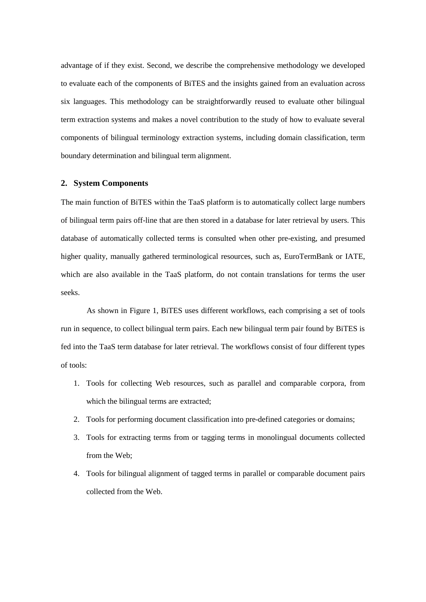advantage of if they exist. Second, we describe the comprehensive methodology we developed to evaluate each of the components of BiTES and the insights gained from an evaluation across six languages. This methodology can be straightforwardly reused to evaluate other bilingual term extraction systems and makes a novel contribution to the study of how to evaluate several components of bilingual terminology extraction systems, including domain classification, term boundary determination and bilingual term alignment.

#### **2. System Components**

The main function of BiTES within the TaaS platform is to automatically collect large numbers of bilingual term pairs off-line that are then stored in a database for later retrieval by users. This database of automatically collected terms is consulted when other pre-existing, and presumed higher quality, manually gathered terminological resources, such as, EuroTermBank or IATE, which are also available in the TaaS platform, do not contain translations for terms the user seeks.

As shown in Figure 1, BiTES uses different workflows, each comprising a set of tools run in sequence, to collect bilingual term pairs. Each new bilingual term pair found by BiTES is fed into the TaaS term database for later retrieval. The workflows consist of four different types of tools:

- 1. Tools for collecting Web resources, such as parallel and comparable corpora, from which the bilingual terms are extracted;
- 2. Tools for performing document classification into pre-defined categories or domains;
- 3. Tools for extracting terms from or tagging terms in monolingual documents collected from the Web;
- 4. Tools for bilingual alignment of tagged terms in parallel or comparable document pairs collected from the Web.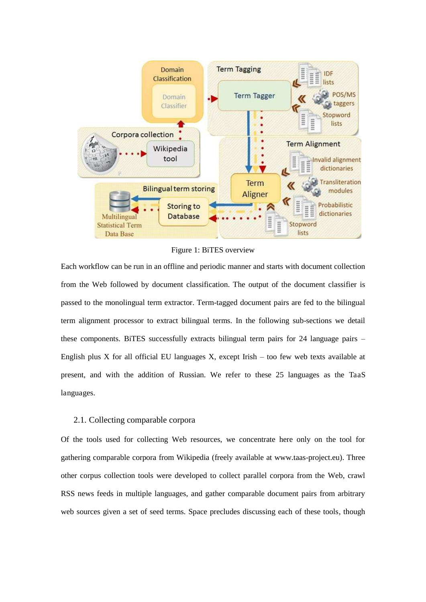

Figure 1: BiTES overview

Each workflow can be run in an offline and periodic manner and starts with document collection from the Web followed by document classification. The output of the document classifier is passed to the monolingual term extractor. Term-tagged document pairs are fed to the bilingual term alignment processor to extract bilingual terms. In the following sub-sections we detail these components. BiTES successfully extracts bilingual term pairs for 24 language pairs – English plus X for all official EU languages X, except Irish  $-$  too few web texts available at present, and with the addition of Russian. We refer to these 25 languages as the TaaS languages.

#### 2.1. Collecting comparable corpora

Of the tools used for collecting Web resources, we concentrate here only on the tool for gathering comparable corpora from Wikipedia (freely available at www.taas-project.eu). Three other corpus collection tools were developed to collect parallel corpora from the Web, crawl RSS news feeds in multiple languages, and gather comparable document pairs from arbitrary web sources given a set of seed terms. Space precludes discussing each of these tools, though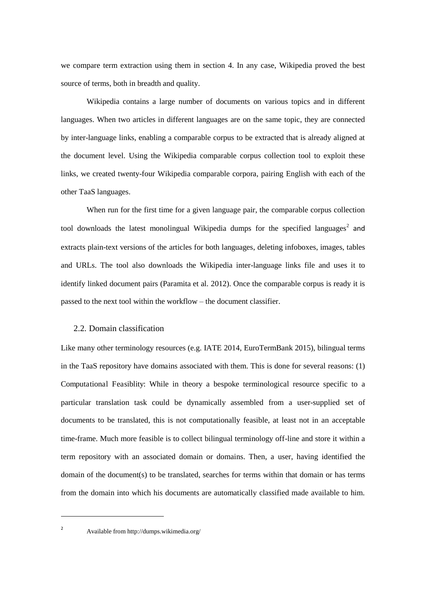we compare term extraction using them in section 4. In any case, Wikipedia proved the best source of terms, both in breadth and quality.

Wikipedia contains a large number of documents on various topics and in different languages. When two articles in different languages are on the same topic, they are connected by inter-language links, enabling a comparable corpus to be extracted that is already aligned at the document level. Using the Wikipedia comparable corpus collection tool to exploit these links, we created twenty-four Wikipedia comparable corpora, pairing English with each of the other TaaS languages.

When run for the first time for a given language pair, the comparable corpus collection tool downloads the latest monolingual Wikipedia dumps for the specified languages<sup>2</sup> and extracts plain-text versions of the articles for both languages, deleting infoboxes, images, tables and URLs. The tool also downloads the Wikipedia inter-language links file and uses it to identify linked document pairs (Paramita et al. 2012). Once the comparable corpus is ready it is passed to the next tool within the workflow – the document classifier.

## 2.2. Domain classification

Like many other terminology resources (e.g. IATE 2014, EuroTermBank 2015), bilingual terms in the TaaS repository have domains associated with them. This is done for several reasons: (1) Computational Feasiblity: While in theory a bespoke terminological resource specific to a particular translation task could be dynamically assembled from a user-supplied set of documents to be translated, this is not computationally feasible, at least not in an acceptable time-frame. Much more feasible is to collect bilingual terminology off-line and store it within a term repository with an associated domain or domains. Then, a user, having identified the domain of the document(s) to be translated, searches for terms within that domain or has terms from the domain into which his documents are automatically classified made available to him.

2

 $\overline{a}$ 

Available from http://dumps.wikimedia.org/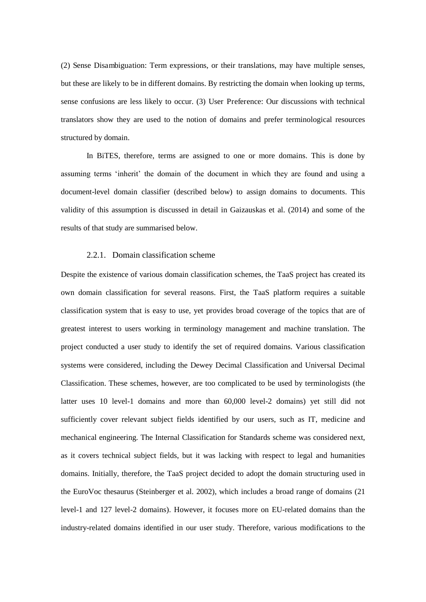(2) Sense Disambiguation: Term expressions, or their translations, may have multiple senses, but these are likely to be in different domains. By restricting the domain when looking up terms, sense confusions are less likely to occur. (3) User Preference: Our discussions with technical translators show they are used to the notion of domains and prefer terminological resources structured by domain.

In BiTES, therefore, terms are assigned to one or more domains. This is done by assuming terms 'inherit' the domain of the document in which they are found and using a document-level domain classifier (described below) to assign domains to documents. This validity of this assumption is discussed in detail in Gaizauskas et al. (2014) and some of the results of that study are summarised below.

#### 2.2.1. Domain classification scheme

Despite the existence of various domain classification schemes, the TaaS project has created its own domain classification for several reasons. First, the TaaS platform requires a suitable classification system that is easy to use, yet provides broad coverage of the topics that are of greatest interest to users working in terminology management and machine translation. The project conducted a user study to identify the set of required domains. Various classification systems were considered, including the Dewey Decimal Classification and Universal Decimal Classification. These schemes, however, are too complicated to be used by terminologists (the latter uses 10 level-1 domains and more than 60,000 level-2 domains) yet still did not sufficiently cover relevant subject fields identified by our users, such as IT, medicine and mechanical engineering. The Internal Classification for Standards scheme was considered next, as it covers technical subject fields, but it was lacking with respect to legal and humanities domains. Initially, therefore, the TaaS project decided to adopt the domain structuring used in the EuroVoc thesaurus (Steinberger et al. 2002), which includes a broad range of domains (21 level-1 and 127 level-2 domains). However, it focuses more on EU-related domains than the industry-related domains identified in our user study. Therefore, various modifications to the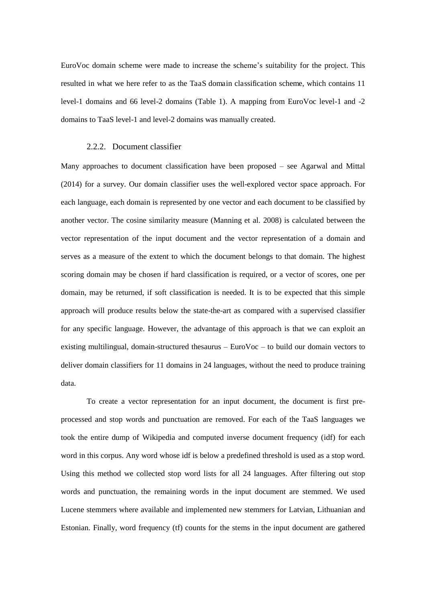EuroVoc domain scheme were made to increase the scheme's suitability for the project. This resulted in what we here refer to as the TaaS domain classification scheme, which contains 11 level-1 domains and 66 level-2 domains (Table 1). A mapping from EuroVoc level-1 and -2 domains to TaaS level-1 and level-2 domains was manually created.

#### 2.2.2. Document classifier

Many approaches to document classification have been proposed – see Agarwal and Mittal (2014) for a survey. Our domain classifier uses the well-explored vector space approach. For each language, each domain is represented by one vector and each document to be classified by another vector. The cosine similarity measure (Manning et al. 2008) is calculated between the vector representation of the input document and the vector representation of a domain and serves as a measure of the extent to which the document belongs to that domain. The highest scoring domain may be chosen if hard classification is required, or a vector of scores, one per domain, may be returned, if soft classification is needed. It is to be expected that this simple approach will produce results below the state-the-art as compared with a supervised classifier for any specific language. However, the advantage of this approach is that we can exploit an existing multilingual, domain-structured thesaurus – EuroVoc – to build our domain vectors to deliver domain classifiers for 11 domains in 24 languages, without the need to produce training data.

To create a vector representation for an input document, the document is first preprocessed and stop words and punctuation are removed. For each of the TaaS languages we took the entire dump of Wikipedia and computed inverse document frequency (idf) for each word in this corpus. Any word whose idf is below a predefined threshold is used as a stop word. Using this method we collected stop word lists for all 24 languages. After filtering out stop words and punctuation, the remaining words in the input document are stemmed. We used Lucene stemmers where available and implemented new stemmers for Latvian, Lithuanian and Estonian. Finally, word frequency (tf) counts for the stems in the input document are gathered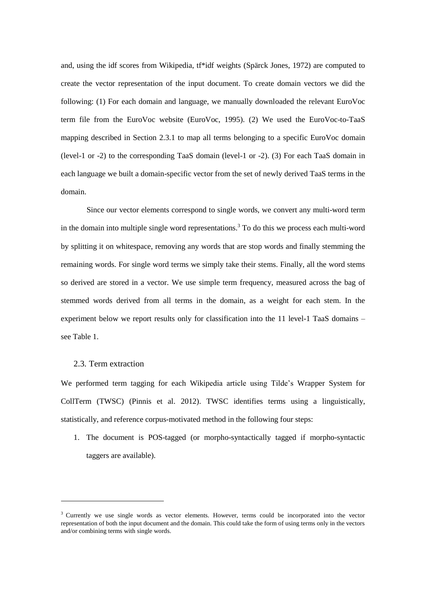and, using the idf scores from Wikipedia, tf\*idf weights (Spärck Jones, 1972) are computed to create the vector representation of the input document. To create domain vectors we did the following: (1) For each domain and language, we manually downloaded the relevant EuroVoc term file from the EuroVoc website (EuroVoc, 1995). (2) We used the EuroVoc-to-TaaS mapping described in Section 2.3.1 to map all terms belonging to a specific EuroVoc domain (level-1 or -2) to the corresponding TaaS domain (level-1 or -2). (3) For each TaaS domain in each language we built a domain-specific vector from the set of newly derived TaaS terms in the domain.

Since our vector elements correspond to single words, we convert any multi-word term in the domain into multiple single word representations.<sup>3</sup> To do this we process each multi-word by splitting it on whitespace, removing any words that are stop words and finally stemming the remaining words. For single word terms we simply take their stems. Finally, all the word stems so derived are stored in a vector. We use simple term frequency, measured across the bag of stemmed words derived from all terms in the domain, as a weight for each stem. In the experiment below we report results only for classification into the 11 level-1 TaaS domains – see Table 1.

# 2.3. Term extraction

 $\overline{a}$ 

We performed term tagging for each Wikipedia article using Tilde's Wrapper System for CollTerm (TWSC) (Pinnis et al. 2012). TWSC identifies terms using a linguistically, statistically, and reference corpus-motivated method in the following four steps:

1. The document is POS-tagged (or morpho-syntactically tagged if morpho-syntactic taggers are available).

<sup>&</sup>lt;sup>3</sup> Currently we use single words as vector elements. However, terms could be incorporated into the vector representation of both the input document and the domain. This could take the form of using terms only in the vectors and/or combining terms with single words.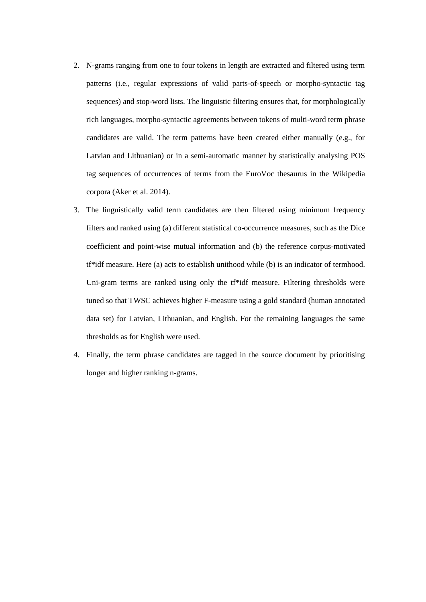- 2. N-grams ranging from one to four tokens in length are extracted and filtered using term patterns (i.e., regular expressions of valid parts-of-speech or morpho-syntactic tag sequences) and stop-word lists. The linguistic filtering ensures that, for morphologically rich languages, morpho-syntactic agreements between tokens of multi-word term phrase candidates are valid. The term patterns have been created either manually (e.g., for Latvian and Lithuanian) or in a semi-automatic manner by statistically analysing POS tag sequences of occurrences of terms from the EuroVoc thesaurus in the Wikipedia corpora (Aker et al. 2014).
- 3. The linguistically valid term candidates are then filtered using minimum frequency filters and ranked using (a) different statistical co-occurrence measures, such as the Dice coefficient and point-wise mutual information and (b) the reference corpus-motivated tf\*idf measure. Here (a) acts to establish unithood while (b) is an indicator of termhood. Uni-gram terms are ranked using only the tf\*idf measure. Filtering thresholds were tuned so that TWSC achieves higher F-measure using a gold standard (human annotated data set) for Latvian, Lithuanian, and English. For the remaining languages the same thresholds as for English were used.
- 4. Finally, the term phrase candidates are tagged in the source document by prioritising longer and higher ranking n-grams.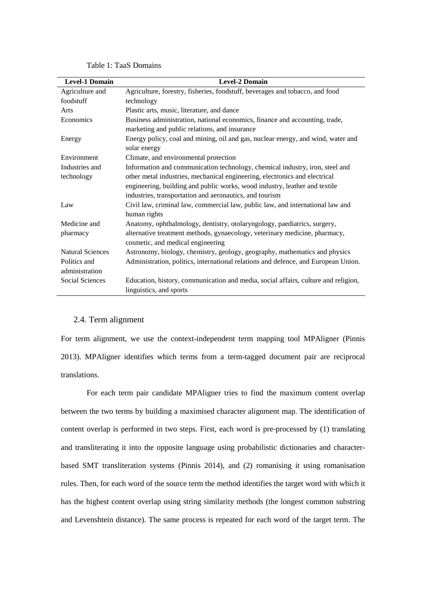| <b>Level-1 Domain</b>   | <b>Level-2 Domain</b>                                                              |
|-------------------------|------------------------------------------------------------------------------------|
| Agriculture and         | Agriculture, forestry, fisheries, foodstuff, beverages and tobacco, and food       |
| foodstuff               | technology                                                                         |
| Arts                    | Plastic arts, music, literature, and dance                                         |
| Economics               | Business administration, national economics, finance and accounting, trade,        |
|                         | marketing and public relations, and insurance                                      |
| Energy                  | Energy policy, coal and mining, oil and gas, nuclear energy, and wind, water and   |
|                         | solar energy                                                                       |
| Environment             | Climate, and environmental protection                                              |
| Industries and          | Information and communication technology, chemical industry, iron, steel and       |
| technology              | other metal industries, mechanical engineering, electronics and electrical         |
|                         | engineering, building and public works, wood industry, leather and textile         |
|                         | industries, transportation and aeronautics, and tourism                            |
| Law                     | Civil law, criminal law, commercial law, public law, and international law and     |
|                         | human rights                                                                       |
| Medicine and            | Anatomy, ophthalmology, dentistry, otolaryngology, paediatrics, surgery,           |
| pharmacy                | alternative treatment methods, gynaecology, veterinary medicine, pharmacy,         |
|                         | cosmetic, and medical engineering                                                  |
| <b>Natural Sciences</b> | Astronomy, biology, chemistry, geology, geography, mathematics and physics         |
| Politics and            | Administration, politics, international relations and defence, and European Union. |
| administration          |                                                                                    |
| Social Sciences         | Education, history, communication and media, social affairs, culture and religion, |
|                         | linguistics, and sports                                                            |

Table 1: TaaS Domains

#### 2.4. Term alignment

For term alignment, we use the context-independent term mapping tool MPAligner (Pinnis 2013). MPAligner identifies which terms from a term-tagged document pair are reciprocal translations.

For each term pair candidate MPAligner tries to find the maximum content overlap between the two terms by building a maximised character alignment map. The identification of content overlap is performed in two steps. First, each word is pre-processed by (1) translating and transliterating it into the opposite language using probabilistic dictionaries and characterbased SMT transliteration systems (Pinnis 2014), and (2) romanising it using romanisation rules. Then, for each word of the source term the method identifies the target word with which it has the highest content overlap using string similarity methods (the longest common substring and Levenshtein distance). The same process is repeated for each word of the target term. The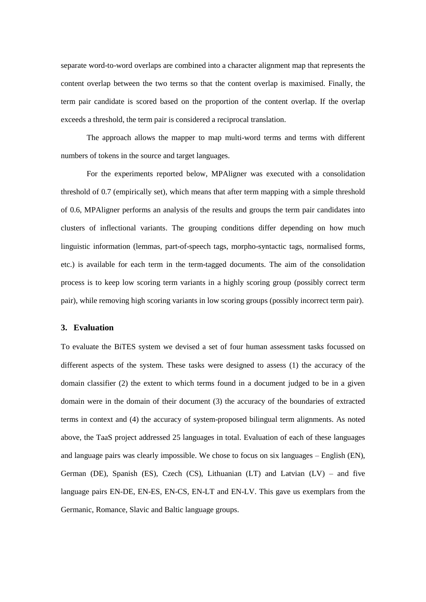separate word-to-word overlaps are combined into a character alignment map that represents the content overlap between the two terms so that the content overlap is maximised. Finally, the term pair candidate is scored based on the proportion of the content overlap. If the overlap exceeds a threshold, the term pair is considered a reciprocal translation.

The approach allows the mapper to map multi-word terms and terms with different numbers of tokens in the source and target languages.

For the experiments reported below, MPAligner was executed with a consolidation threshold of 0.7 (empirically set), which means that after term mapping with a simple threshold of 0.6, MPAligner performs an analysis of the results and groups the term pair candidates into clusters of inflectional variants. The grouping conditions differ depending on how much linguistic information (lemmas, part-of-speech tags, morpho-syntactic tags, normalised forms, etc.) is available for each term in the term-tagged documents. The aim of the consolidation process is to keep low scoring term variants in a highly scoring group (possibly correct term pair), while removing high scoring variants in low scoring groups (possibly incorrect term pair).

#### **3. Evaluation**

To evaluate the BiTES system we devised a set of four human assessment tasks focussed on different aspects of the system. These tasks were designed to assess (1) the accuracy of the domain classifier (2) the extent to which terms found in a document judged to be in a given domain were in the domain of their document (3) the accuracy of the boundaries of extracted terms in context and (4) the accuracy of system-proposed bilingual term alignments. As noted above, the TaaS project addressed 25 languages in total. Evaluation of each of these languages and language pairs was clearly impossible. We chose to focus on six languages – English (EN), German (DE), Spanish (ES), Czech (CS), Lithuanian (LT) and Latvian (LV) – and five language pairs EN-DE, EN-ES, EN-CS, EN-LT and EN-LV. This gave us exemplars from the Germanic, Romance, Slavic and Baltic language groups.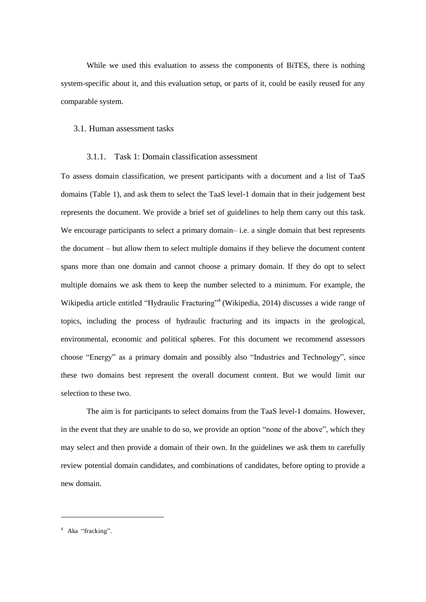While we used this evaluation to assess the components of BiTES, there is nothing system-specific about it, and this evaluation setup, or parts of it, could be easily reused for any comparable system.

#### 3.1. Human assessment tasks

## 3.1.1. Task 1: Domain classification assessment

To assess domain classification, we present participants with a document and a list of TaaS domains (Table 1), and ask them to select the TaaS level-1 domain that in their judgement best represents the document. We provide a brief set of guidelines to help them carry out this task. We encourage participants to select a primary domain– i.e. a single domain that best represents the document – but allow them to select multiple domains if they believe the document content spans more than one domain and cannot choose a primary domain. If they do opt to select multiple domains we ask them to keep the number selected to a minimum. For example, the Wikipedia article entitled "Hydraulic Fracturing"<sup>4</sup> (Wikipedia, 2014) discusses a wide range of topics, including the process of hydraulic fracturing and its impacts in the geological, environmental, economic and political spheres. For this document we recommend assessors choose "Energy" as a primary domain and possibly also "Industries and Technology", since these two domains best represent the overall document content. But we would limit our selection to these two.

The aim is for participants to select domains from the TaaS level-1 domains. However, in the event that they are unable to do so, we provide an option "none of the above", which they may select and then provide a domain of their own. In the guidelines we ask them to carefully review potential domain candidates, and combinations of candidates, before opting to provide a new domain.

 $\overline{a}$ 

 $4$  Aka "fracking".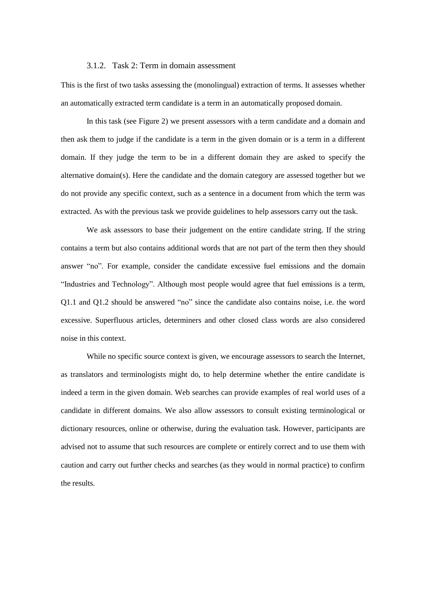#### 3.1.2. Task 2: Term in domain assessment

This is the first of two tasks assessing the (monolingual) extraction of terms. It assesses whether an automatically extracted term candidate is a term in an automatically proposed domain.

In this task (see Figure 2) we present assessors with a term candidate and a domain and then ask them to judge if the candidate is a term in the given domain or is a term in a different domain. If they judge the term to be in a different domain they are asked to specify the alternative domain(s). Here the candidate and the domain category are assessed together but we do not provide any specific context, such as a sentence in a document from which the term was extracted. As with the previous task we provide guidelines to help assessors carry out the task.

We ask assessors to base their judgement on the entire candidate string. If the string contains a term but also contains additional words that are not part of the term then they should answer "no". For example, consider the candidate excessive fuel emissions and the domain "Industries and Technology". Although most people would agree that fuel emissions is a term, Q1.1 and Q1.2 should be answered "no" since the candidate also contains noise, i.e. the word excessive. Superfluous articles, determiners and other closed class words are also considered noise in this context.

While no specific source context is given, we encourage assessors to search the Internet, as translators and terminologists might do, to help determine whether the entire candidate is indeed a term in the given domain. Web searches can provide examples of real world uses of a candidate in different domains. We also allow assessors to consult existing terminological or dictionary resources, online or otherwise, during the evaluation task. However, participants are advised not to assume that such resources are complete or entirely correct and to use them with caution and carry out further checks and searches (as they would in normal practice) to confirm the results.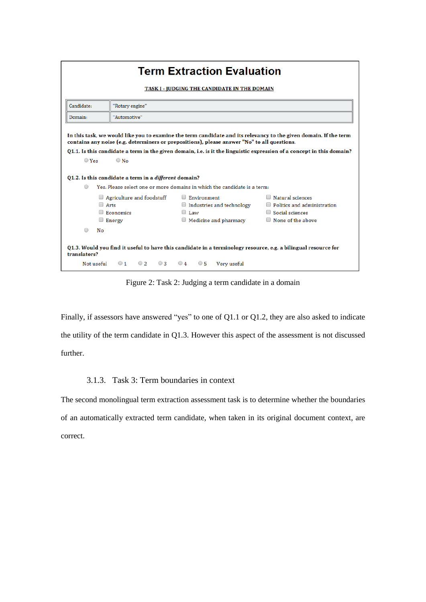| <b>Term Extraction Evaluation</b> |                                                                                                                                                                                                                 |                        |                    |                                      |                                                                                                                       |  |  |  |
|-----------------------------------|-----------------------------------------------------------------------------------------------------------------------------------------------------------------------------------------------------------------|------------------------|--------------------|--------------------------------------|-----------------------------------------------------------------------------------------------------------------------|--|--|--|
|                                   | <b>TASK I - JUDGING THE CANDIDATE IN THE DOMAIN</b>                                                                                                                                                             |                        |                    |                                      |                                                                                                                       |  |  |  |
| Candidate:                        | "Rotary engine"                                                                                                                                                                                                 |                        |                    |                                      |                                                                                                                       |  |  |  |
| Domain:                           | "Automotive"                                                                                                                                                                                                    |                        |                    |                                      |                                                                                                                       |  |  |  |
|                                   | In this task, we would like you to examine the term candidate and its relevancy to the given domain. If the term<br>contains any noise (e.g. determiners or prepositions), please answer "No" to all questions. |                        |                    |                                      |                                                                                                                       |  |  |  |
|                                   |                                                                                                                                                                                                                 |                        |                    |                                      | Q1.1. Is this candidate a term in the given domain, i.e. is it the linguistic expression of a concept in this domain? |  |  |  |
| $\bigcirc$ Yes                    | $\bigcirc$ No                                                                                                                                                                                                   |                        |                    |                                      |                                                                                                                       |  |  |  |
| $\bigcirc$                        | 01.2. Is this candidate a term in a <i>different</i> domain?<br>Yes. Please select one or more domains in which the candidate is a term:                                                                        |                        |                    |                                      |                                                                                                                       |  |  |  |
|                                   |                                                                                                                                                                                                                 |                        |                    |                                      |                                                                                                                       |  |  |  |
| $\Box$ Arts                       | Agriculture and foodstuff                                                                                                                                                                                       |                        | <b>Environment</b> | $\Box$ Industries and technology     | $\Box$ Natural sciences<br>Politics and administration                                                                |  |  |  |
|                                   | Economics                                                                                                                                                                                                       |                        | $\Box$ Law         |                                      | $\Box$ Social sciences                                                                                                |  |  |  |
|                                   | $\Box$ Energy                                                                                                                                                                                                   |                        |                    | $\blacksquare$ Medicine and pharmacy | $\Box$ None of the above                                                                                              |  |  |  |
| $\bigcirc$<br>No                  |                                                                                                                                                                                                                 |                        |                    |                                      |                                                                                                                       |  |  |  |
| translators?                      | Q1.3. Would you find it useful to have this candidate in a terminology resource, e.g. a bilingual resource for                                                                                                  |                        |                    |                                      |                                                                                                                       |  |  |  |
| Not useful                        | $\circ$ 1<br>$\circ$ 2                                                                                                                                                                                          | $\circ$ 3<br>$\circ$ 4 | $\circ$ 5          | Very useful                          |                                                                                                                       |  |  |  |

Figure 2: Task 2: Judging a term candidate in a domain

Finally, if assessors have answered "yes" to one of Q1.1 or Q1.2, they are also asked to indicate the utility of the term candidate in Q1.3. However this aspect of the assessment is not discussed further.

# 3.1.3. Task 3: Term boundaries in context

The second monolingual term extraction assessment task is to determine whether the boundaries of an automatically extracted term candidate, when taken in its original document context, are correct.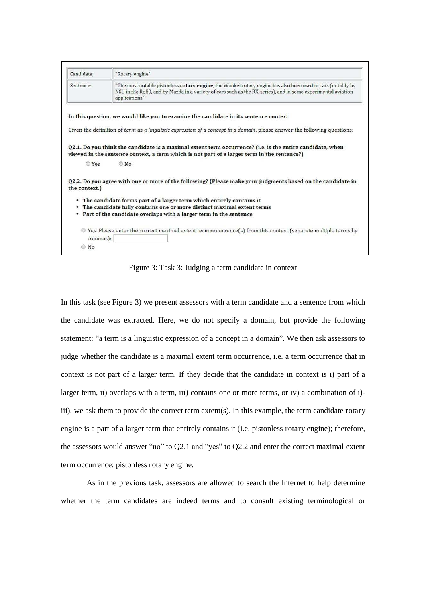|                    | "Rotary engine"                                                                                                                                                                                                                             |
|--------------------|---------------------------------------------------------------------------------------------------------------------------------------------------------------------------------------------------------------------------------------------|
| Sentence:          | The most notable pistonless rotary engine, the Wankel rotary engine has also been used in cars (notably by<br>NSU in the Ro80, and by Mazda in a variety of cars such as the RX-series), and in some experimental aviation<br>applications" |
|                    | In this question, we would like you to examine the candidate in its sentence context.                                                                                                                                                       |
|                    | Given the definition of term as a linguistic expression of a concept in a domain, please answer the following questions:                                                                                                                    |
|                    | Q2.1. Do you think the candidate is a maximal extent term occurrence? (i.e. is the entire candidate, when<br>viewed in the sentence context, a term which is not part of a larger term in the sentence?)                                    |
| O Yes              | $\odot$ No                                                                                                                                                                                                                                  |
|                    | Q2.2. Do you agree with one or more of the following? (Please make your judgments based on the candidate in                                                                                                                                 |
|                    |                                                                                                                                                                                                                                             |
|                    | • The candidate forms part of a larger term which entirely contains it                                                                                                                                                                      |
| the context.)<br>٠ | The candidate fully contains one or more distinct maximal extent terms                                                                                                                                                                      |
|                    | • Part of the candidate overlaps with a larger term in the sentence                                                                                                                                                                         |
|                    |                                                                                                                                                                                                                                             |
| commas):           | ◎ Yes. Please enter the correct maximal extent term occurrence(s) from this context (separate multiple terms by                                                                                                                             |

Figure 3: Task 3: Judging a term candidate in context

In this task (see Figure 3) we present assessors with a term candidate and a sentence from which the candidate was extracted. Here, we do not specify a domain, but provide the following statement: "a term is a linguistic expression of a concept in a domain". We then ask assessors to judge whether the candidate is a maximal extent term occurrence, i.e. a term occurrence that in context is not part of a larger term. If they decide that the candidate in context is i) part of a larger term, ii) overlaps with a term, iii) contains one or more terms, or iv) a combination of i)iii), we ask them to provide the correct term extent(s). In this example, the term candidate rotary engine is a part of a larger term that entirely contains it (i.e. pistonless rotary engine); therefore, the assessors would answer "no" to Q2.1 and "yes" to Q2.2 and enter the correct maximal extent term occurrence: pistonless rotary engine.

As in the previous task, assessors are allowed to search the Internet to help determine whether the term candidates are indeed terms and to consult existing terminological or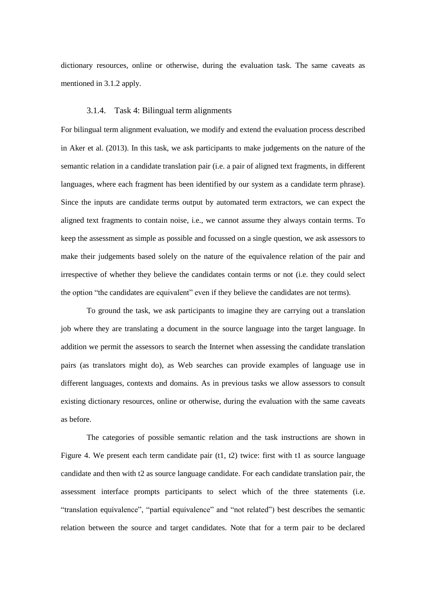dictionary resources, online or otherwise, during the evaluation task. The same caveats as mentioned in 3.1.2 apply.

#### 3.1.4. Task 4: Bilingual term alignments

For bilingual term alignment evaluation, we modify and extend the evaluation process described in Aker et al. (2013). In this task, we ask participants to make judgements on the nature of the semantic relation in a candidate translation pair (i.e. a pair of aligned text fragments, in different languages, where each fragment has been identified by our system as a candidate term phrase). Since the inputs are candidate terms output by automated term extractors, we can expect the aligned text fragments to contain noise, i.e., we cannot assume they always contain terms. To keep the assessment as simple as possible and focussed on a single question, we ask assessors to make their judgements based solely on the nature of the equivalence relation of the pair and irrespective of whether they believe the candidates contain terms or not (i.e. they could select the option "the candidates are equivalent" even if they believe the candidates are not terms).

To ground the task, we ask participants to imagine they are carrying out a translation job where they are translating a document in the source language into the target language. In addition we permit the assessors to search the Internet when assessing the candidate translation pairs (as translators might do), as Web searches can provide examples of language use in different languages, contexts and domains. As in previous tasks we allow assessors to consult existing dictionary resources, online or otherwise, during the evaluation with the same caveats as before.

The categories of possible semantic relation and the task instructions are shown in Figure 4. We present each term candidate pair  $(t1, t2)$  twice: first with t1 as source language candidate and then with t2 as source language candidate. For each candidate translation pair, the assessment interface prompts participants to select which of the three statements (i.e. "translation equivalence", "partial equivalence" and "not related") best describes the semantic relation between the source and target candidates. Note that for a term pair to be declared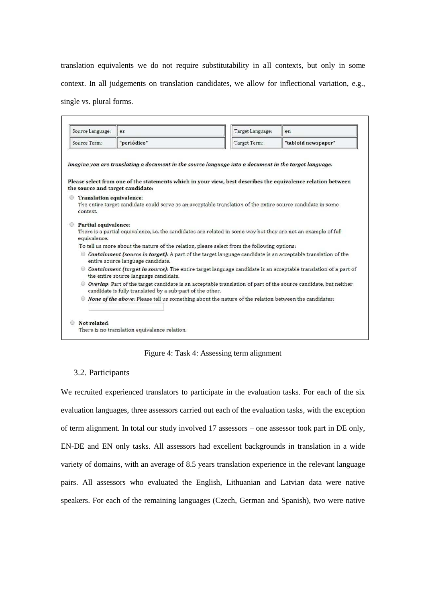translation equivalents we do not require substitutability in all contexts, but only in some context. In all judgements on translation candidates, we allow for inflectional variation, e.g., single vs. plural forms.

| Source Language:                                 | es                                                        | Target Language:                                                                                                          | en                  |
|--------------------------------------------------|-----------------------------------------------------------|---------------------------------------------------------------------------------------------------------------------------|---------------------|
| Source Term:                                     | "periódico"                                               | Target Term:                                                                                                              | "tabloid newspaper" |
|                                                  |                                                           | Imagine you are translating a document in the source language into a document in the target language.                     |                     |
| the source and target candidate:                 |                                                           | Please select from one of the statements which in your view, best describes the equivalence relation between              |                     |
| <b>Translation equivalence:</b><br>⊜<br>context. |                                                           | The entire target candidate could serve as an acceptable translation of the entire source candidate in some               |                     |
| Partial equivalence:<br>equivalence.             |                                                           | There is a partial equivalence, i.e. the candidates are related in some way but they are not an example of full           |                     |
|                                                  |                                                           | To tell us more about the nature of the relation, please select from the following options:                               |                     |
|                                                  | entire source language candidate.                         | Containment (source in target): A part of the target language candidate is an acceptable translation of the               |                     |
|                                                  | the entire source language candidate.                     | Containment (target in source): The entire target language candidate is an acceptable translation of a part of            |                     |
|                                                  | candidate is fully translated by a sub-part of the other. | O <i>Overlap</i> : Part of the target candidate is an acceptable translation of part of the source candidate, but neither |                     |
|                                                  |                                                           | © None of the above: Please tell us something about the nature of the relation between the candidates:                    |                     |
|                                                  |                                                           |                                                                                                                           |                     |
| Not related:                                     |                                                           |                                                                                                                           |                     |

Figure 4: Task 4: Assessing term alignment

## 3.2. Participants

We recruited experienced translators to participate in the evaluation tasks. For each of the six evaluation languages, three assessors carried out each of the evaluation tasks, with the exception of term alignment. In total our study involved 17 assessors – one assessor took part in DE only, EN-DE and EN only tasks. All assessors had excellent backgrounds in translation in a wide variety of domains, with an average of 8.5 years translation experience in the relevant language pairs. All assessors who evaluated the English, Lithuanian and Latvian data were native speakers. For each of the remaining languages (Czech, German and Spanish), two were native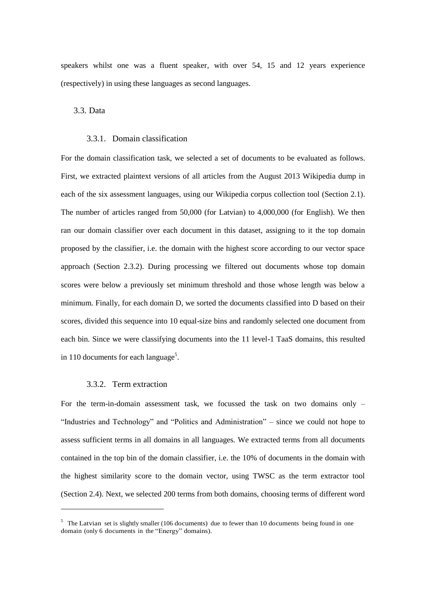speakers whilst one was a fluent speaker, with over 54, 15 and 12 years experience (respectively) in using these languages as second languages.

#### 3.3. Data

#### 3.3.1. Domain classification

For the domain classification task, we selected a set of documents to be evaluated as follows. First, we extracted plaintext versions of all articles from the August 2013 Wikipedia dump in each of the six assessment languages, using our Wikipedia corpus collection tool (Section 2.1). The number of articles ranged from 50,000 (for Latvian) to 4,000,000 (for English). We then ran our domain classifier over each document in this dataset, assigning to it the top domain proposed by the classifier, i.e. the domain with the highest score according to our vector space approach (Section 2.3.2). During processing we filtered out documents whose top domain scores were below a previously set minimum threshold and those whose length was below a minimum. Finally, for each domain D, we sorted the documents classified into D based on their scores, divided this sequence into 10 equal-size bins and randomly selected one document from each bin. Since we were classifying documents into the 11 level-1 TaaS domains, this resulted in 110 documents for each language<sup>5</sup>.

#### 3.3.2. Term extraction

 $\overline{a}$ 

For the term-in-domain assessment task, we focussed the task on two domains only – "Industries and Technology" and "Politics and Administration" – since we could not hope to assess sufficient terms in all domains in all languages. We extracted terms from all documents contained in the top bin of the domain classifier, i.e. the 10% of documents in the domain with the highest similarity score to the domain vector, using TWSC as the term extractor tool (Section 2.4). Next, we selected 200 terms from both domains, choosing terms of different word

 $5$  The Latvian set is slightly smaller (106 documents) due to fewer than 10 documents being found in one domain (only 6 documents in the "Energy" domains).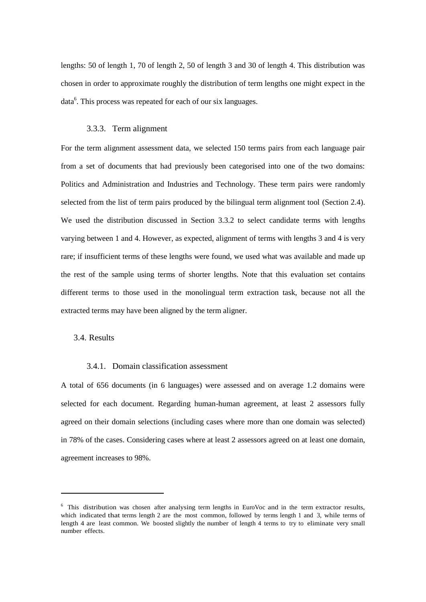lengths: 50 of length 1, 70 of length 2, 50 of length 3 and 30 of length 4. This distribution was chosen in order to approximate roughly the distribution of term lengths one might expect in the data<sup>6</sup>. This process was repeated for each of our six languages.

## 3.3.3. Term alignment

For the term alignment assessment data, we selected 150 terms pairs from each language pair from a set of documents that had previously been categorised into one of the two domains: Politics and Administration and Industries and Technology. These term pairs were randomly selected from the list of term pairs produced by the bilingual term alignment tool (Section 2.4). We used the distribution discussed in Section 3.3.2 to select candidate terms with lengths varying between 1 and 4. However, as expected, alignment of terms with lengths 3 and 4 is very rare; if insufficient terms of these lengths were found, we used what was available and made up the rest of the sample using terms of shorter lengths. Note that this evaluation set contains different terms to those used in the monolingual term extraction task, because not all the extracted terms may have been aligned by the term aligner.

## 3.4. Results

 $\overline{a}$ 

## 3.4.1. Domain classification assessment

A total of 656 documents (in 6 languages) were assessed and on average 1.2 domains were selected for each document. Regarding human-human agreement, at least 2 assessors fully agreed on their domain selections (including cases where more than one domain was selected) in 78% of the cases. Considering cases where at least 2 assessors agreed on at least one domain, agreement increases to 98%.

 $6$  This distribution was chosen after analysing term lengths in EuroVoc and in the term extractor results, which indicated that terms length 2 are the most common, followed by terms length 1 and 3, while terms of length 4 are least common. We boosted slightly the number of length 4 terms to try to eliminate very small number effects.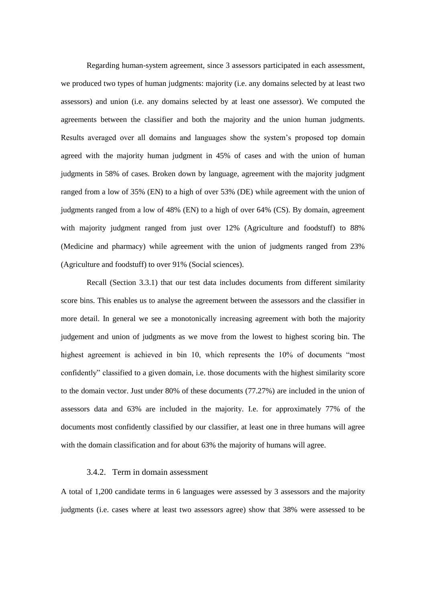Regarding human-system agreement, since 3 assessors participated in each assessment, we produced two types of human judgments: majority (i.e. any domains selected by at least two assessors) and union (i.e. any domains selected by at least one assessor). We computed the agreements between the classifier and both the majority and the union human judgments. Results averaged over all domains and languages show the system's proposed top domain agreed with the majority human judgment in 45% of cases and with the union of human judgments in 58% of cases. Broken down by language, agreement with the majority judgment ranged from a low of 35% (EN) to a high of over 53% (DE) while agreement with the union of judgments ranged from a low of 48% (EN) to a high of over 64% (CS). By domain, agreement with majority judgment ranged from just over 12% (Agriculture and foodstuff) to 88% (Medicine and pharmacy) while agreement with the union of judgments ranged from 23% (Agriculture and foodstuff) to over 91% (Social sciences).

Recall (Section 3.3.1) that our test data includes documents from different similarity score bins. This enables us to analyse the agreement between the assessors and the classifier in more detail. In general we see a monotonically increasing agreement with both the majority judgement and union of judgments as we move from the lowest to highest scoring bin. The highest agreement is achieved in bin 10, which represents the 10% of documents "most confidently" classified to a given domain, i.e. those documents with the highest similarity score to the domain vector. Just under 80% of these documents (77.27%) are included in the union of assessors data and 63% are included in the majority. I.e. for approximately 77% of the documents most confidently classified by our classifier, at least one in three humans will agree with the domain classification and for about 63% the majority of humans will agree.

## 3.4.2. Term in domain assessment

A total of 1,200 candidate terms in 6 languages were assessed by 3 assessors and the majority judgments (i.e. cases where at least two assessors agree) show that 38% were assessed to be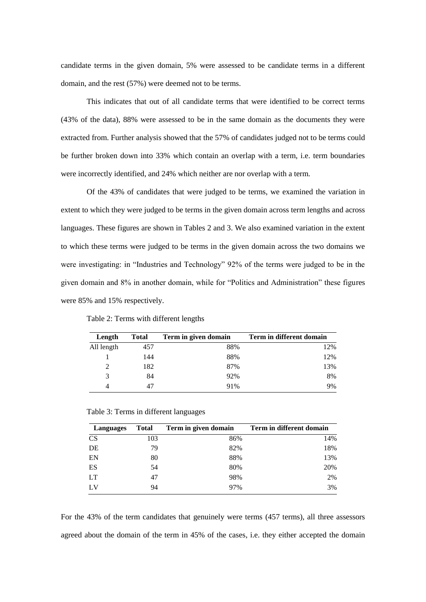candidate terms in the given domain, 5% were assessed to be candidate terms in a different domain, and the rest (57%) were deemed not to be terms.

This indicates that out of all candidate terms that were identified to be correct terms (43% of the data), 88% were assessed to be in the same domain as the documents they were extracted from. Further analysis showed that the 57% of candidates judged not to be terms could be further broken down into 33% which contain an overlap with a term, i.e. term boundaries were incorrectly identified, and 24% which neither are nor overlap with a term.

Of the 43% of candidates that were judged to be terms, we examined the variation in extent to which they were judged to be terms in the given domain across term lengths and across languages. These figures are shown in Tables 2 and 3. We also examined variation in the extent to which these terms were judged to be terms in the given domain across the two domains we were investigating: in "Industries and Technology" 92% of the terms were judged to be in the given domain and 8% in another domain, while for "Politics and Administration" these figures were 85% and 15% respectively.

| Length     | <b>Total</b> | Term in given domain | Term in different domain |
|------------|--------------|----------------------|--------------------------|
| All length | 457          | 88%                  | 12%                      |
|            | 144          | 88%                  | 12%                      |
|            | 182          | 87%                  | 13%                      |
| 3          | 84           | 92%                  | 8%                       |
|            | 47           | 91%                  | 9%                       |

Table 2: Terms with different lengths

Table 3: Terms in different languages

| Languages   | <b>Total</b> | Term in given domain | Term in different domain |
|-------------|--------------|----------------------|--------------------------|
| CS          | 103          | 86%                  | 14%                      |
| DE          | 79           | 82%                  | 18%                      |
| EN          | 80           | 88%                  | 13%                      |
| ES          | 54           | 80%                  | 20%                      |
| LT          | 47           | 98%                  | 2%                       |
| $L_{\rm V}$ | 94           | 97%                  | 3%                       |

For the 43% of the term candidates that genuinely were terms (457 terms), all three assessors agreed about the domain of the term in 45% of the cases, i.e. they either accepted the domain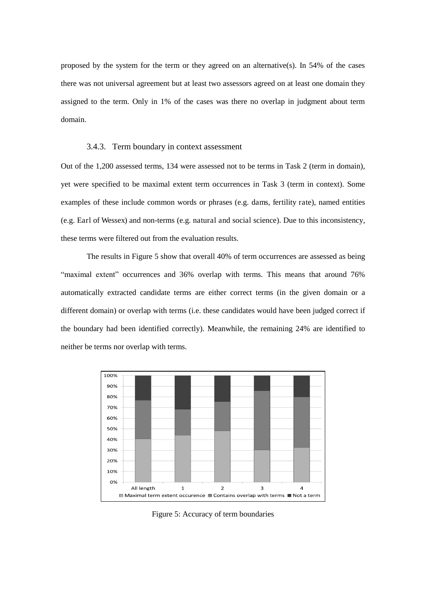proposed by the system for the term or they agreed on an alternative(s). In 54% of the cases there was not universal agreement but at least two assessors agreed on at least one domain they assigned to the term. Only in 1% of the cases was there no overlap in judgment about term domain.

### 3.4.3. Term boundary in context assessment

Out of the 1,200 assessed terms, 134 were assessed not to be terms in Task 2 (term in domain), yet were specified to be maximal extent term occurrences in Task 3 (term in context). Some examples of these include common words or phrases (e.g. dams, fertility rate), named entities (e.g. Earl of Wessex) and non-terms (e.g. natural and social science). Due to this inconsistency, these terms were filtered out from the evaluation results.

The results in Figure 5 show that overall 40% of term occurrences are assessed as being "maximal extent" occurrences and 36% overlap with terms. This means that around 76% automatically extracted candidate terms are either correct terms (in the given domain or a different domain) or overlap with terms (i.e. these candidates would have been judged correct if the boundary had been identified correctly). Meanwhile, the remaining 24% are identified to neither be terms nor overlap with terms.



Figure 5: Accuracy of term boundaries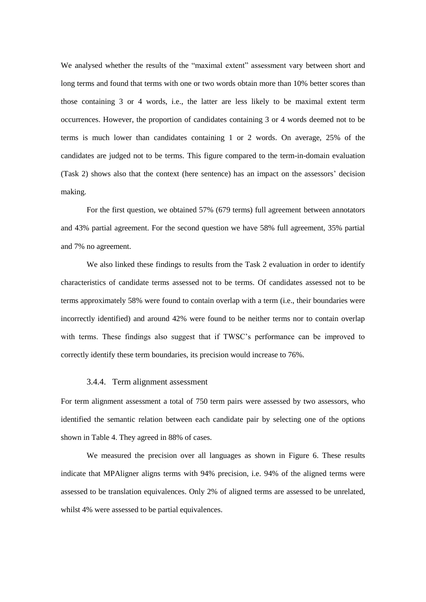We analysed whether the results of the "maximal extent" assessment vary between short and long terms and found that terms with one or two words obtain more than 10% better scores than those containing 3 or 4 words, i.e., the latter are less likely to be maximal extent term occurrences. However, the proportion of candidates containing 3 or 4 words deemed not to be terms is much lower than candidates containing 1 or 2 words. On average, 25% of the candidates are judged not to be terms. This figure compared to the term-in-domain evaluation (Task 2) shows also that the context (here sentence) has an impact on the assessors' decision making.

For the first question, we obtained 57% (679 terms) full agreement between annotators and 43% partial agreement. For the second question we have 58% full agreement, 35% partial and 7% no agreement.

We also linked these findings to results from the Task 2 evaluation in order to identify characteristics of candidate terms assessed not to be terms. Of candidates assessed not to be terms approximately 58% were found to contain overlap with a term (i.e., their boundaries were incorrectly identified) and around 42% were found to be neither terms nor to contain overlap with terms. These findings also suggest that if TWSC's performance can be improved to correctly identify these term boundaries, its precision would increase to 76%.

#### 3.4.4. Term alignment assessment

For term alignment assessment a total of 750 term pairs were assessed by two assessors, who identified the semantic relation between each candidate pair by selecting one of the options shown in Table 4. They agreed in 88% of cases.

We measured the precision over all languages as shown in Figure 6. These results indicate that MPAligner aligns terms with 94% precision, i.e. 94% of the aligned terms were assessed to be translation equivalences. Only 2% of aligned terms are assessed to be unrelated, whilst 4% were assessed to be partial equivalences.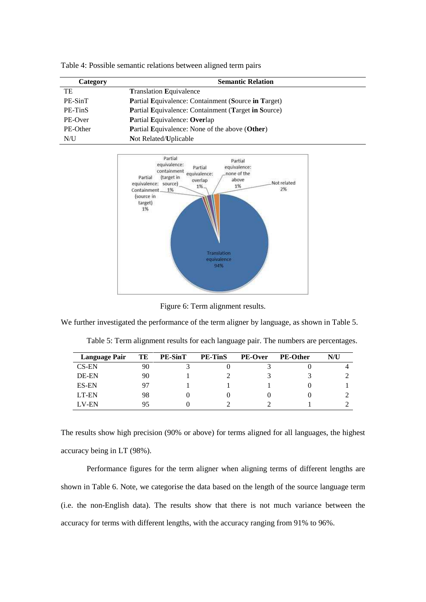| Category | <b>Semantic Relation</b>                                       |
|----------|----------------------------------------------------------------|
| TE       | <b>Translation Equivalence</b>                                 |
| PE-SinT  | <b>Partial Equivalence: Containment (Source in Target)</b>     |
| PE-TinS  | Partial Equivalence: Containment (Target in Source)            |
| PE-Over  | Partial Equivalence: Overlap                                   |
| PE-Other | <b>Partial Equivalence:</b> None of the above ( <b>Other</b> ) |
| N/I      | Not Related/Uplicable                                          |

Table 4: Possible semantic relations between aligned term pairs



Figure 6: Term alignment results.

We further investigated the performance of the term aligner by language, as shown in Table 5.

| <b>Language Pair</b> | TE | <b>PE-SinT</b> | <b>PE-TinS</b> | <b>PE-Over</b> | <b>PE-Other</b> | N/U |
|----------------------|----|----------------|----------------|----------------|-----------------|-----|
| $CS-EN$              | 90 |                |                |                |                 |     |
| DE-EN                | 90 |                |                |                |                 |     |
| <b>ES-EN</b>         | 97 |                |                |                |                 |     |
| LT-EN                | 98 |                |                |                |                 |     |
| LV-EN                | 95 |                |                |                |                 |     |

| Table 5: Term alignment results for each language pair. The numbers are percentages. |  |  |
|--------------------------------------------------------------------------------------|--|--|
|                                                                                      |  |  |

The results show high precision (90% or above) for terms aligned for all languages, the highest accuracy being in LT (98%).

Performance figures for the term aligner when aligning terms of different lengths are shown in Table 6. Note, we categorise the data based on the length of the source language term (i.e. the non-English data). The results show that there is not much variance between the accuracy for terms with different lengths, with the accuracy ranging from 91% to 96%.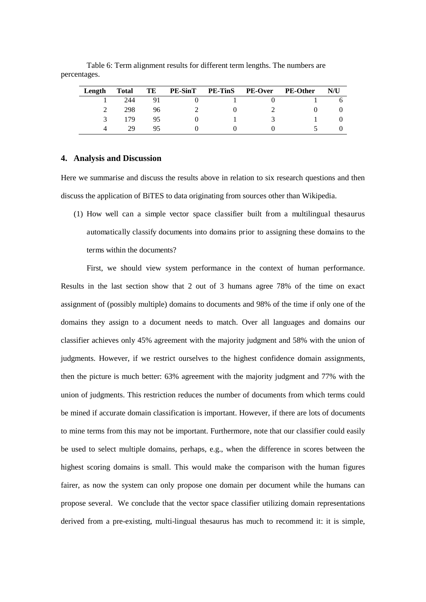| Length | <b>Total</b> | TE | <b>PE-SinT</b> | <b>PE-TinS</b> | <b>PE-Over</b> | <b>PE-Other</b> | N/U |
|--------|--------------|----|----------------|----------------|----------------|-----------------|-----|
|        | 244          |    |                |                |                |                 |     |
|        | 298          | 96 |                |                |                |                 |     |
|        | 179          | 95 |                |                |                |                 |     |
|        | 29           | 95 |                |                |                |                 |     |

Table 6: Term alignment results for different term lengths. The numbers are percentages.

#### **4. Analysis and Discussion**

Here we summarise and discuss the results above in relation to six research questions and then discuss the application of BiTES to data originating from sources other than Wikipedia.

(1) How well can a simple vector space classifier built from a multilingual thesaurus automatically classify documents into domains prior to assigning these domains to the terms within the documents?

First, we should view system performance in the context of human performance. Results in the last section show that 2 out of 3 humans agree 78% of the time on exact assignment of (possibly multiple) domains to documents and 98% of the time if only one of the domains they assign to a document needs to match. Over all languages and domains our classifier achieves only 45% agreement with the majority judgment and 58% with the union of judgments. However, if we restrict ourselves to the highest confidence domain assignments, then the picture is much better: 63% agreement with the majority judgment and 77% with the union of judgments. This restriction reduces the number of documents from which terms could be mined if accurate domain classification is important. However, if there are lots of documents to mine terms from this may not be important. Furthermore, note that our classifier could easily be used to select multiple domains, perhaps, e.g., when the difference in scores between the highest scoring domains is small. This would make the comparison with the human figures fairer, as now the system can only propose one domain per document while the humans can propose several. We conclude that the vector space classifier utilizing domain representations derived from a pre-existing, multi-lingual thesaurus has much to recommend it: it is simple,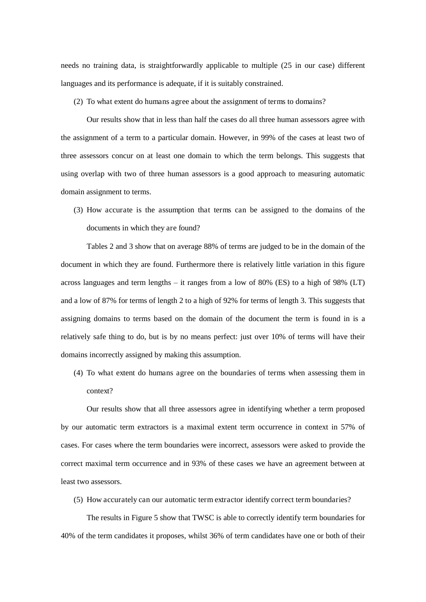needs no training data, is straightforwardly applicable to multiple (25 in our case) different languages and its performance is adequate, if it is suitably constrained.

(2) To what extent do humans agree about the assignment of terms to domains?

Our results show that in less than half the cases do all three human assessors agree with the assignment of a term to a particular domain. However, in 99% of the cases at least two of three assessors concur on at least one domain to which the term belongs. This suggests that using overlap with two of three human assessors is a good approach to measuring automatic domain assignment to terms.

(3) How accurate is the assumption that terms can be assigned to the domains of the documents in which they are found?

Tables 2 and 3 show that on average 88% of terms are judged to be in the domain of the document in which they are found. Furthermore there is relatively little variation in this figure across languages and term lengths – it ranges from a low of 80% (ES) to a high of 98% (LT) and a low of 87% for terms of length 2 to a high of 92% for terms of length 3. This suggests that assigning domains to terms based on the domain of the document the term is found in is a relatively safe thing to do, but is by no means perfect: just over 10% of terms will have their domains incorrectly assigned by making this assumption.

(4) To what extent do humans agree on the boundaries of terms when assessing them in context?

Our results show that all three assessors agree in identifying whether a term proposed by our automatic term extractors is a maximal extent term occurrence in context in 57% of cases. For cases where the term boundaries were incorrect, assessors were asked to provide the correct maximal term occurrence and in 93% of these cases we have an agreement between at least two assessors.

(5) How accurately can our automatic term extractor identify correct term boundaries?

The results in Figure 5 show that TWSC is able to correctly identify term boundaries for 40% of the term candidates it proposes, whilst 36% of term candidates have one or both of their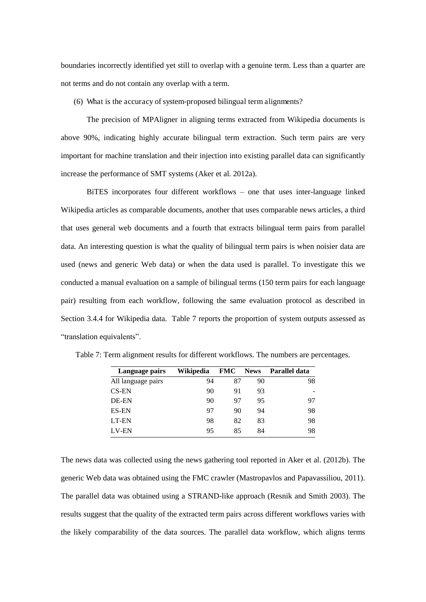boundaries incorrectly identified yet still to overlap with a genuine term. Less than a quarter are not terms and do not contain any overlap with a term.

(6) What is the accuracy of system-proposed bilingual term alignments?

The precision of MPAligner in aligning terms extracted from Wikipedia documents is above 90%, indicating highly accurate bilingual term extraction. Such term pairs are very important for machine translation and their injection into existing parallel data can significantly increase the performance of SMT systems (Aker et al. 2012a).

BiTES incorporates four different workflows – one that uses inter-language linked Wikipedia articles as comparable documents, another that uses comparable news articles, a third that uses general web documents and a fourth that extracts bilingual term pairs from parallel data. An interesting question is what the quality of bilingual term pairs is when noisier data are used (news and generic Web data) or when the data used is parallel. To investigate this we conducted a manual evaluation on a sample of bilingual terms (150 term pairs for each language pair) resulting from each workflow, following the same evaluation protocol as described in Section 3.4.4 for Wikipedia data. Table 7 reports the proportion of system outputs assessed as "translation equivalents".

| Language pairs     | Wikipedia | <b>FMC</b> | <b>News</b> | <b>Parallel data</b> |
|--------------------|-----------|------------|-------------|----------------------|
| All language pairs | 94        | 87         | 90          | 98                   |
| <b>CS-EN</b>       | 90        | 91         | 93          |                      |
| DE-EN              | 90        | 97         | 95          | 97                   |
| <b>ES-EN</b>       | 97        | 90         | 94          | 98                   |
| <b>LT-EN</b>       | 98        | 82         | 83          | 98                   |
| <b>LV-EN</b>       | 95        | 85         | 84          | 98                   |

Table 7: Term alignment results for different workflows. The numbers are percentages.

The news data was collected using the news gathering tool reported in Aker et al. (2012b). The generic Web data was obtained using the FMC crawler (Mastropavlos and Papavassiliou, 2011). The parallel data was obtained using a STRAND-like approach (Resnik and Smith 2003). The results suggest that the quality of the extracted term pairs across different workflows varies with the likely comparability of the data sources. The parallel data workflow, which aligns terms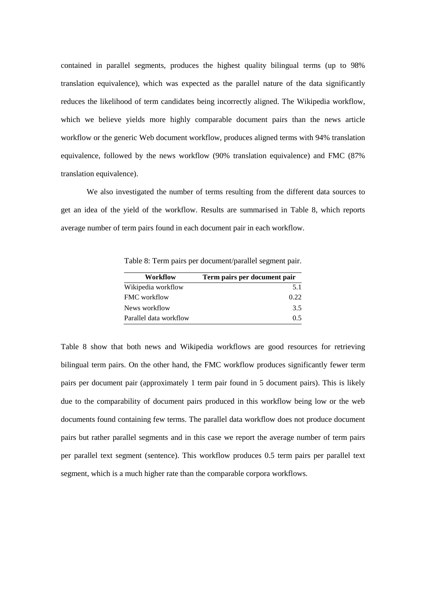contained in parallel segments, produces the highest quality bilingual terms (up to 98% translation equivalence), which was expected as the parallel nature of the data significantly reduces the likelihood of term candidates being incorrectly aligned. The Wikipedia workflow, which we believe yields more highly comparable document pairs than the news article workflow or the generic Web document workflow, produces aligned terms with 94% translation equivalence, followed by the news workflow (90% translation equivalence) and FMC (87% translation equivalence).

We also investigated the number of terms resulting from the different data sources to get an idea of the yield of the workflow. Results are summarised in Table 8, which reports average number of term pairs found in each document pair in each workflow.

Table 8: Term pairs per document/parallel segment pair.

| Workflow               | Term pairs per document pair |
|------------------------|------------------------------|
| Wikipedia workflow     | 5.1                          |
| <b>FMC</b> workflow    | 0.22                         |
| News workflow          | 3.5                          |
| Parallel data workflow | 0.5                          |

Table 8 show that both news and Wikipedia workflows are good resources for retrieving bilingual term pairs. On the other hand, the FMC workflow produces significantly fewer term pairs per document pair (approximately 1 term pair found in 5 document pairs). This is likely due to the comparability of document pairs produced in this workflow being low or the web documents found containing few terms. The parallel data workflow does not produce document pairs but rather parallel segments and in this case we report the average number of term pairs per parallel text segment (sentence). This workflow produces 0.5 term pairs per parallel text segment, which is a much higher rate than the comparable corpora workflows.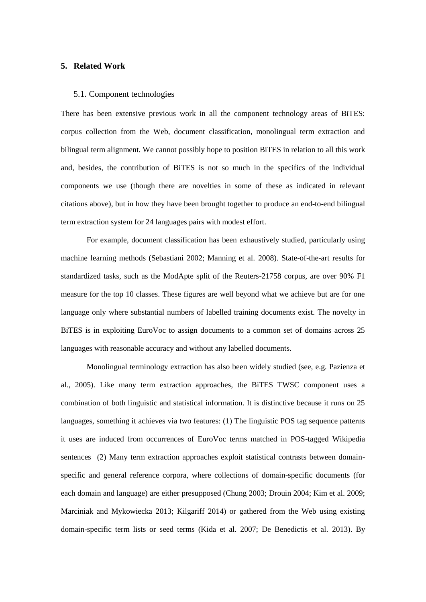## **5. Related Work**

#### 5.1. Component technologies

There has been extensive previous work in all the component technology areas of BiTES: corpus collection from the Web, document classification, monolingual term extraction and bilingual term alignment. We cannot possibly hope to position BiTES in relation to all this work and, besides, the contribution of BiTES is not so much in the specifics of the individual components we use (though there are novelties in some of these as indicated in relevant citations above), but in how they have been brought together to produce an end-to-end bilingual term extraction system for 24 languages pairs with modest effort.

For example, document classification has been exhaustively studied, particularly using machine learning methods (Sebastiani 2002; Manning et al. 2008). State-of-the-art results for standardized tasks, such as the ModApte split of the Reuters-21758 corpus, are over 90% F1 measure for the top 10 classes. These figures are well beyond what we achieve but are for one language only where substantial numbers of labelled training documents exist. The novelty in BiTES is in exploiting EuroVoc to assign documents to a common set of domains across 25 languages with reasonable accuracy and without any labelled documents.

Monolingual terminology extraction has also been widely studied (see, e.g. Pazienza et al., 2005). Like many term extraction approaches, the BiTES TWSC component uses a combination of both linguistic and statistical information. It is distinctive because it runs on 25 languages, something it achieves via two features: (1) The linguistic POS tag sequence patterns it uses are induced from occurrences of EuroVoc terms matched in POS-tagged Wikipedia sentences (2) Many term extraction approaches exploit statistical contrasts between domainspecific and general reference corpora, where collections of domain-specific documents (for each domain and language) are either presupposed (Chung 2003; Drouin 2004; Kim et al. 2009; Marciniak and Mykowiecka 2013; Kilgariff 2014) or gathered from the Web using existing domain-specific term lists or seed terms (Kida et al. 2007; De Benedictis et al. 2013). By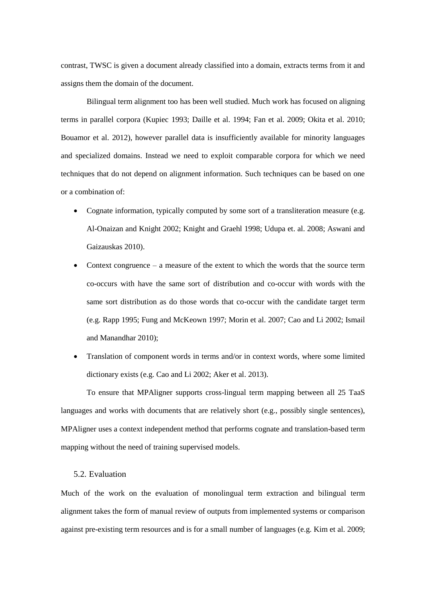contrast, TWSC is given a document already classified into a domain, extracts terms from it and assigns them the domain of the document.

Bilingual term alignment too has been well studied. Much work has focused on aligning terms in parallel corpora (Kupiec 1993; Daille et al. 1994; Fan et al. 2009; Okita et al. 2010; Bouamor et al. 2012), however parallel data is insufficiently available for minority languages and specialized domains. Instead we need to exploit comparable corpora for which we need techniques that do not depend on alignment information. Such techniques can be based on one or a combination of:

- Cognate information, typically computed by some sort of a transliteration measure (e.g. Al-Onaizan and Knight 2002; Knight and Graehl 1998; Udupa et. al. 2008; Aswani and Gaizauskas 2010).
- Context congruence a measure of the extent to which the words that the source term co-occurs with have the same sort of distribution and co-occur with words with the same sort distribution as do those words that co-occur with the candidate target term (e.g. Rapp 1995; Fung and McKeown 1997; Morin et al. 2007; Cao and Li 2002; Ismail and Manandhar 2010);
- Translation of component words in terms and/or in context words, where some limited dictionary exists (e.g. Cao and Li 2002; Aker et al. 2013).

To ensure that MPAligner supports cross-lingual term mapping between all 25 TaaS languages and works with documents that are relatively short (e.g., possibly single sentences), MPAligner uses a context independent method that performs cognate and translation-based term mapping without the need of training supervised models.

### 5.2. Evaluation

Much of the work on the evaluation of monolingual term extraction and bilingual term alignment takes the form of manual review of outputs from implemented systems or comparison against pre-existing term resources and is for a small number of languages (e.g. Kim et al. 2009;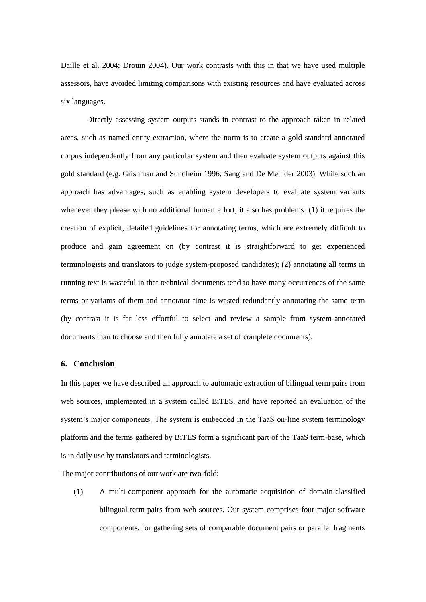Daille et al. 2004; Drouin 2004). Our work contrasts with this in that we have used multiple assessors, have avoided limiting comparisons with existing resources and have evaluated across six languages.

Directly assessing system outputs stands in contrast to the approach taken in related areas, such as named entity extraction, where the norm is to create a gold standard annotated corpus independently from any particular system and then evaluate system outputs against this gold standard (e.g. Grishman and Sundheim 1996; Sang and De Meulder 2003). While such an approach has advantages, such as enabling system developers to evaluate system variants whenever they please with no additional human effort, it also has problems: (1) it requires the creation of explicit, detailed guidelines for annotating terms, which are extremely difficult to produce and gain agreement on (by contrast it is straightforward to get experienced terminologists and translators to judge system-proposed candidates); (2) annotating all terms in running text is wasteful in that technical documents tend to have many occurrences of the same terms or variants of them and annotator time is wasted redundantly annotating the same term (by contrast it is far less effortful to select and review a sample from system-annotated documents than to choose and then fully annotate a set of complete documents).

# **6. Conclusion**

In this paper we have described an approach to automatic extraction of bilingual term pairs from web sources, implemented in a system called BiTES, and have reported an evaluation of the system's major components. The system is embedded in the TaaS on-line system terminology platform and the terms gathered by BiTES form a significant part of the TaaS term-base, which is in daily use by translators and terminologists.

The major contributions of our work are two-fold:

(1) A multi-component approach for the automatic acquisition of domain-classified bilingual term pairs from web sources. Our system comprises four major software components, for gathering sets of comparable document pairs or parallel fragments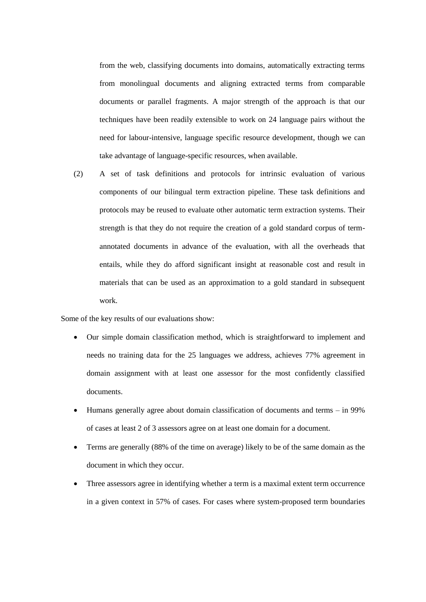from the web, classifying documents into domains, automatically extracting terms from monolingual documents and aligning extracted terms from comparable documents or parallel fragments. A major strength of the approach is that our techniques have been readily extensible to work on 24 language pairs without the need for labour-intensive, language specific resource development, though we can take advantage of language-specific resources, when available.

(2) A set of task definitions and protocols for intrinsic evaluation of various components of our bilingual term extraction pipeline. These task definitions and protocols may be reused to evaluate other automatic term extraction systems. Their strength is that they do not require the creation of a gold standard corpus of termannotated documents in advance of the evaluation, with all the overheads that entails, while they do afford significant insight at reasonable cost and result in materials that can be used as an approximation to a gold standard in subsequent work.

Some of the key results of our evaluations show:

- Our simple domain classification method, which is straightforward to implement and needs no training data for the 25 languages we address, achieves 77% agreement in domain assignment with at least one assessor for the most confidently classified documents.
- Humans generally agree about domain classification of documents and terms in 99% of cases at least 2 of 3 assessors agree on at least one domain for a document.
- Terms are generally (88% of the time on average) likely to be of the same domain as the document in which they occur.
- Three assessors agree in identifying whether a term is a maximal extent term occurrence in a given context in 57% of cases. For cases where system-proposed term boundaries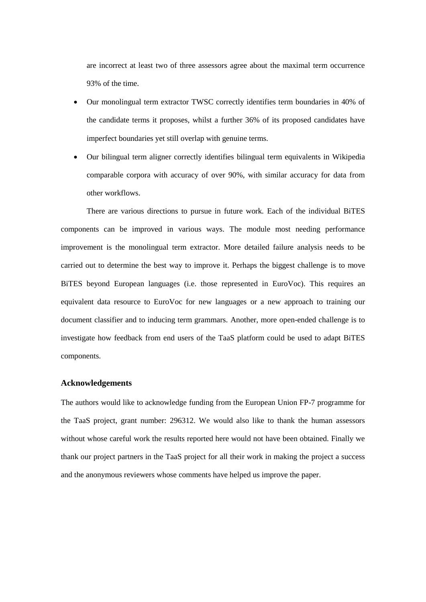are incorrect at least two of three assessors agree about the maximal term occurrence 93% of the time.

- Our monolingual term extractor TWSC correctly identifies term boundaries in 40% of the candidate terms it proposes, whilst a further 36% of its proposed candidates have imperfect boundaries yet still overlap with genuine terms.
- Our bilingual term aligner correctly identifies bilingual term equivalents in Wikipedia comparable corpora with accuracy of over 90%, with similar accuracy for data from other workflows.

There are various directions to pursue in future work. Each of the individual BiTES components can be improved in various ways. The module most needing performance improvement is the monolingual term extractor. More detailed failure analysis needs to be carried out to determine the best way to improve it. Perhaps the biggest challenge is to move BiTES beyond European languages (i.e. those represented in EuroVoc). This requires an equivalent data resource to EuroVoc for new languages or a new approach to training our document classifier and to inducing term grammars. Another, more open-ended challenge is to investigate how feedback from end users of the TaaS platform could be used to adapt BiTES components.

# **Acknowledgements**

The authors would like to acknowledge funding from the European Union FP-7 programme for the TaaS project, grant number: 296312. We would also like to thank the human assessors without whose careful work the results reported here would not have been obtained. Finally we thank our project partners in the TaaS project for all their work in making the project a success and the anonymous reviewers whose comments have helped us improve the paper.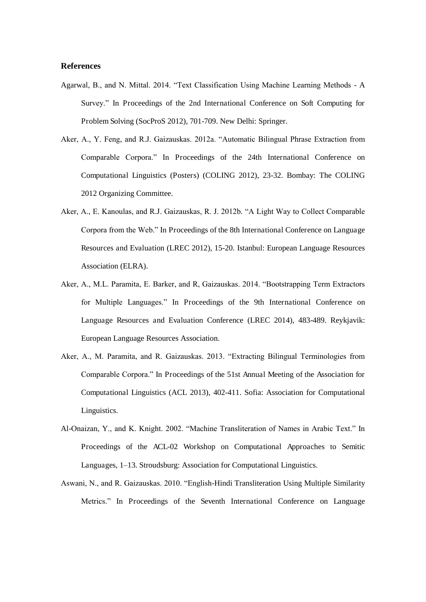## **References**

- Agarwal, B., and N. Mittal. 2014. "Text Classification Using Machine Learning Methods A Survey." In Proceedings of the 2nd International Conference on Soft Computing for Problem Solving (SocProS 2012), 701-709. New Delhi: Springer.
- Aker, A., Y. Feng, and R.J. Gaizauskas. 2012a. "Automatic Bilingual Phrase Extraction from Comparable Corpora." In Proceedings of the 24th International Conference on Computational Linguistics (Posters) (COLING 2012), 23-32. Bombay: The COLING 2012 Organizing Committee.
- Aker, A., E. Kanoulas, and R.J. Gaizauskas, R. J. 2012b. "A Light Way to Collect Comparable Corpora from the Web." In Proceedings of the 8th International Conference on Language Resources and Evaluation (LREC 2012), 15-20. Istanbul: European Language Resources Association (ELRA).
- Aker, A., M.L. Paramita, E. Barker, and R, Gaizauskas. 2014. "Bootstrapping Term Extractors for Multiple Languages." In Proceedings of the 9th International Conference on Language Resources and Evaluation Conference (LREC 2014), 483-489. Reykjavik: European Language Resources Association.
- Aker, A., M. Paramita, and R. Gaizauskas. 2013. "Extracting Bilingual Terminologies from Comparable Corpora." In Proceedings of the 51st Annual Meeting of the Association for Computational Linguistics (ACL 2013), 402-411. Sofia: Association for Computational Linguistics.
- Al-Onaizan, Y., and K. Knight. 2002. "Machine Transliteration of Names in Arabic Text." In Proceedings of the ACL-02 Workshop on Computational Approaches to Semitic Languages, 1–13. Stroudsburg: Association for Computational Linguistics.
- Aswani, N., and R. Gaizauskas. 2010. "English-Hindi Transliteration Using Multiple Similarity Metrics." In Proceedings of the Seventh International Conference on Language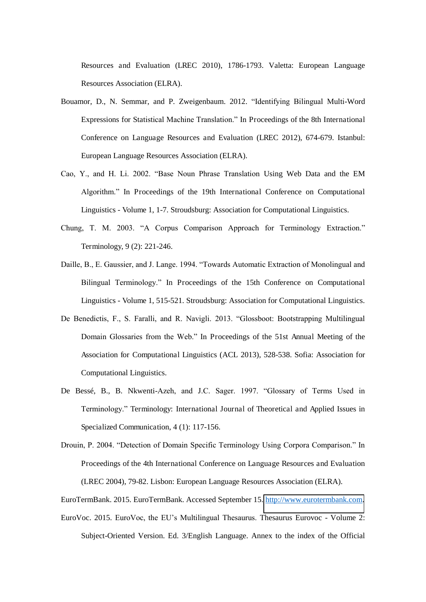Resources and Evaluation (LREC 2010), 1786-1793. Valetta: European Language Resources Association (ELRA).

- Bouamor, D., N. Semmar, and P. Zweigenbaum. 2012. "Identifying Bilingual Multi-Word Expressions for Statistical Machine Translation." In Proceedings of the 8th International Conference on Language Resources and Evaluation (LREC 2012), 674-679. Istanbul: European Language Resources Association (ELRA).
- Cao, Y., and H. Li. 2002. "Base Noun Phrase Translation Using Web Data and the EM Algorithm." In Proceedings of the 19th International Conference on Computational Linguistics - Volume 1, 1-7. Stroudsburg: Association for Computational Linguistics.
- Chung, T. M. 2003. "A Corpus Comparison Approach for Terminology Extraction." Terminology, 9 (2): 221-246.
- Daille, B., E. Gaussier, and J. Lange. 1994. "Towards Automatic Extraction of Monolingual and Bilingual Terminology." In Proceedings of the 15th Conference on Computational Linguistics - Volume 1, 515-521. Stroudsburg: Association for Computational Linguistics.
- De Benedictis, F., S. Faralli, and R. Navigli. 2013. "Glossboot: Bootstrapping Multilingual Domain Glossaries from the Web." In Proceedings of the 51st Annual Meeting of the Association for Computational Linguistics (ACL 2013), 528-538. Sofia: Association for Computational Linguistics.
- De Bessé, B., B. Nkwenti-Azeh, and J.C. Sager. 1997. "Glossary of Terms Used in Terminology." Terminology: International Journal of Theoretical and Applied Issues in Specialized Communication, 4 (1): 117-156.
- Drouin, P. 2004. "Detection of Domain Specific Terminology Using Corpora Comparison." In Proceedings of the 4th International Conference on Language Resources and Evaluation (LREC 2004), 79-82. Lisbon: European Language Resources Association (ELRA).

EuroTermBank. 2015. EuroTermBank. Accessed September 15. [http://www.eurotermbank.com.](http://www.eurotermbank.com/)

EuroVoc. 2015. EuroVoc, the EU's Multilingual Thesaurus. Thesaurus Eurovoc - Volume 2: Subject-Oriented Version. Ed. 3/English Language. Annex to the index of the Official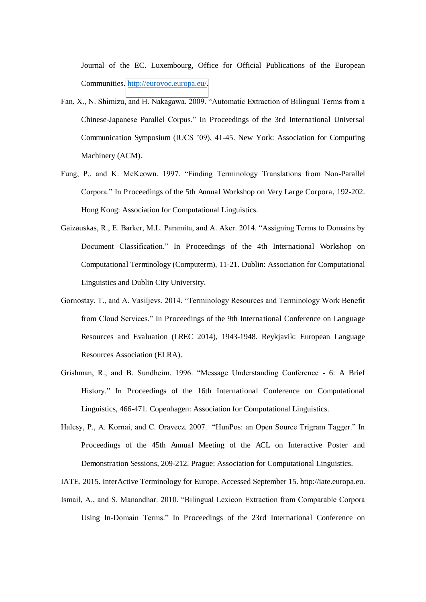Journal of the EC. Luxembourg, Office for Official Publications of the European Communities. [http://eurovoc.europa.eu/.](http://eurovoc.europa.eu/)

- Fan, X., N. Shimizu, and H. Nakagawa. 2009. "Automatic Extraction of Bilingual Terms from a Chinese-Japanese Parallel Corpus." In Proceedings of the 3rd International Universal Communication Symposium (IUCS '09), 41-45. New York: Association for Computing Machinery (ACM).
- Fung, P., and K. McKeown. 1997. "Finding Terminology Translations from Non-Parallel Corpora." In Proceedings of the 5th Annual Workshop on Very Large Corpora, 192-202. Hong Kong: Association for Computational Linguistics.
- Gaizauskas, R., E. Barker, M.L. Paramita, and A. Aker. 2014. "Assigning Terms to Domains by Document Classification." In Proceedings of the 4th International Workshop on Computational Terminology (Computerm), 11-21. Dublin: Association for Computational Linguistics and Dublin City University.
- Gornostay, T., and A. Vasiljevs. 2014. "Terminology Resources and Terminology Work Benefit from Cloud Services." In Proceedings of the 9th International Conference on Language Resources and Evaluation (LREC 2014), 1943-1948. Reykjavik: European Language Resources Association (ELRA).
- Grishman, R., and B. Sundheim. 1996. "Message Understanding Conference 6: A Brief History." In Proceedings of the 16th International Conference on Computational Linguistics, 466-471. Copenhagen: Association for Computational Linguistics.
- Halcsy, P., A. Kornai, and C. Oravecz. 2007. "HunPos: an Open Source Trigram Tagger." In Proceedings of the 45th Annual Meeting of the ACL on Interactive Poster and Demonstration Sessions, 209-212. Prague: Association for Computational Linguistics.

IATE. 2015. InterActive Terminology for Europe. Accessed September 15. http://iate.europa.eu.

Ismail, A., and S. Manandhar. 2010. "Bilingual Lexicon Extraction from Comparable Corpora Using In-Domain Terms." In Proceedings of the 23rd International Conference on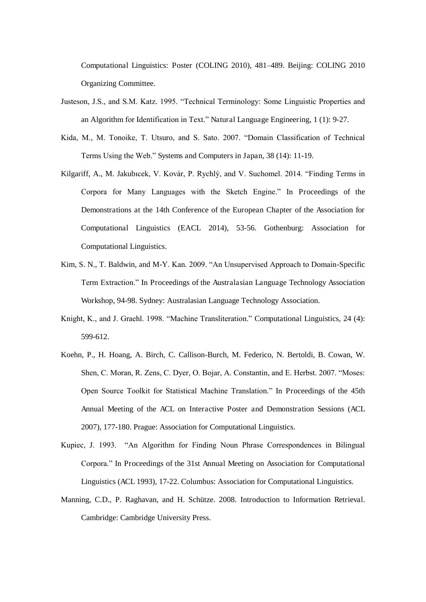Computational Linguistics: Poster (COLING 2010), 481–489. Beijing: COLING 2010 Organizing Committee.

- Justeson, J.S., and S.M. Katz. 1995. "Technical Terminology: Some Linguistic Properties and an Algorithm for Identification in Text." Natural Language Engineering, 1 (1): 9-27.
- Kida, M., M. Tonoike, T. Utsuro, and S. Sato. 2007. "Domain Classification of Technical Terms Using the Web." Systems and Computers in Japan, 38 (14): 11-19.
- Kilgariff, A., M. Jakubıcek, V. Kovár, P. Rychlý, and V. Suchomel. 2014. "Finding Terms in Corpora for Many Languages with the Sketch Engine." In Proceedings of the Demonstrations at the 14th Conference of the European Chapter of the Association for Computational Linguistics (EACL 2014), 53-56. Gothenburg: Association for Computational Linguistics.
- Kim, S. N., T. Baldwin, and M-Y. Kan. 2009. "An Unsupervised Approach to Domain-Specific Term Extraction." In Proceedings of the Australasian Language Technology Association Workshop, 94-98. Sydney: Australasian Language Technology Association.
- Knight, K., and J. Graehl. 1998. "Machine Transliteration." Computational Linguistics, 24 (4): 599-612.
- Koehn, P., H. Hoang, A. Birch, C. Callison-Burch, M. Federico, N. Bertoldi, B. Cowan, W. Shen, C. Moran, R. Zens, C. Dyer, O. Bojar, A. Constantin, and E. Herbst. 2007. "Moses: Open Source Toolkit for Statistical Machine Translation." In Proceedings of the 45th Annual Meeting of the ACL on Interactive Poster and Demonstration Sessions (ACL 2007), 177-180. Prague: Association for Computational Linguistics.
- Kupiec, J. 1993. "An Algorithm for Finding Noun Phrase Correspondences in Bilingual Corpora." In Proceedings of the 31st Annual Meeting on Association for Computational Linguistics (ACL 1993), 17-22. Columbus: Association for Computational Linguistics.
- Manning, C.D., P. Raghavan, and H. Schütze. 2008. Introduction to Information Retrieval. Cambridge: Cambridge University Press.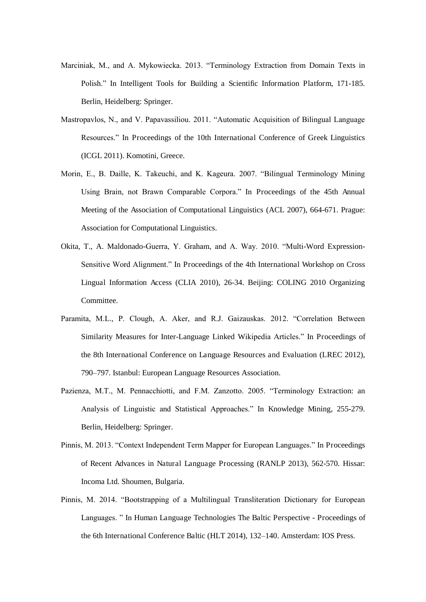- Marciniak, M., and A. Mykowiecka. 2013. "Terminology Extraction from Domain Texts in Polish." In Intelligent Tools for Building a Scientific Information Platform, 171-185. Berlin, Heidelberg: Springer.
- Mastropavlos, N., and V. Papavassiliou. 2011. "Automatic Acquisition of Bilingual Language Resources." In Proceedings of the 10th International Conference of Greek Linguistics (ICGL 2011). Komotini, Greece.
- Morin, E., B. Daille, K. Takeuchi, and K. Kageura. 2007. "Bilingual Terminology Mining Using Brain, not Brawn Comparable Corpora." In Proceedings of the 45th Annual Meeting of the Association of Computational Linguistics (ACL 2007), 664-671. Prague: Association for Computational Linguistics.
- Okita, T., A. Maldonado-Guerra, Y. Graham, and A. Way. 2010. "Multi-Word Expression-Sensitive Word Alignment." In Proceedings of the 4th International Workshop on Cross Lingual Information Access (CLIA 2010), 26-34. Beijing: COLING 2010 Organizing Committee.
- Paramita, M.L., P. Clough, A. Aker, and R.J. Gaizauskas. 2012. "Correlation Between Similarity Measures for Inter-Language Linked Wikipedia Articles." In Proceedings of the 8th International Conference on Language Resources and Evaluation (LREC 2012), 790–797. Istanbul: European Language Resources Association.
- Pazienza, M.T., M. Pennacchiotti, and F.M. Zanzotto. 2005. "Terminology Extraction: an Analysis of Linguistic and Statistical Approaches." In Knowledge Mining, 255-279. Berlin, Heidelberg: Springer.
- Pinnis, M. 2013. "Context Independent Term Mapper for European Languages." In Proceedings of Recent Advances in Natural Language Processing (RANLP 2013), 562-570. Hissar: Incoma Ltd. Shoumen, Bulgaria.
- Pinnis, M. 2014. "Bootstrapping of a Multilingual Transliteration Dictionary for European Languages. " In Human Language Technologies The Baltic Perspective - Proceedings of the 6th International Conference Baltic (HLT 2014), 132–140. Amsterdam: IOS Press.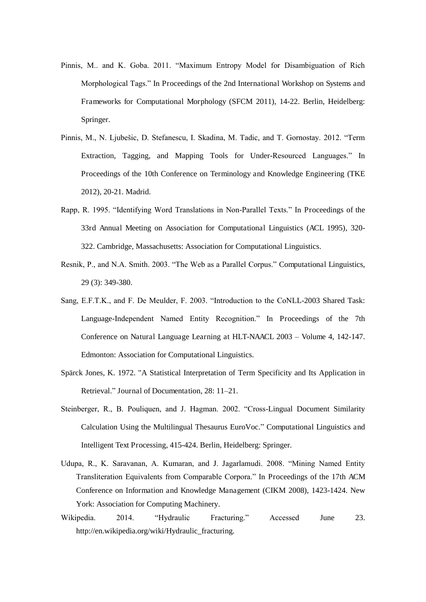- Pinnis, M.. and K. Goba. 2011. "Maximum Entropy Model for Disambiguation of Rich Morphological Tags." In Proceedings of the 2nd International Workshop on Systems and Frameworks for Computational Morphology (SFCM 2011), 14-22. Berlin, Heidelberg: Springer.
- Pinnis, M., N. Ljubešic, D. Stefanescu, I. Skadina, M. Tadic, and T. Gornostay. 2012. "Term Extraction, Tagging, and Mapping Tools for Under-Resourced Languages." In Proceedings of the 10th Conference on Terminology and Knowledge Engineering (TKE 2012), 20-21. Madrid.
- Rapp, R. 1995. "Identifying Word Translations in Non-Parallel Texts." In Proceedings of the 33rd Annual Meeting on Association for Computational Linguistics (ACL 1995), 320- 322. Cambridge, Massachusetts: Association for Computational Linguistics.
- Resnik, P., and N.A. Smith. 2003. "The Web as a Parallel Corpus." Computational Linguistics, 29 (3): 349-380.
- Sang, E.F.T.K., and F. De Meulder, F. 2003. "Introduction to the CoNLL-2003 Shared Task: Language-Independent Named Entity Recognition." In Proceedings of the 7th Conference on Natural Language Learning at HLT-NAACL 2003 *–* Volume 4, 142-147. Edmonton: Association for Computational Linguistics.
- Spärck Jones, K. 1972. "A Statistical Interpretation of Term Specificity and Its Application in Retrieval." Journal of Documentation, 28: 11–21.
- Steinberger, R., B. Pouliquen, and J. Hagman. 2002. "Cross-Lingual Document Similarity Calculation Using the Multilingual Thesaurus EuroVoc." Computational Linguistics and Intelligent Text Processing, 415-424. Berlin, Heidelberg: Springer.
- Udupa, R., K. Saravanan, A. Kumaran, and J. Jagarlamudi. 2008. "Mining Named Entity Transliteration Equivalents from Comparable Corpora." In Proceedings of the 17th ACM Conference on Information and Knowledge Management (CIKM 2008), 1423-1424. New York: Association for Computing Machinery.
- Wikipedia. 2014. "Hydraulic Fracturing." Accessed June 23. http://en.wikipedia.org/wiki/Hydraulic\_fracturing.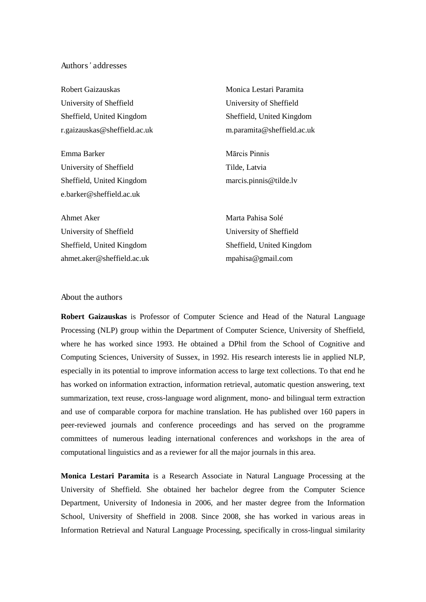#### Authors*'* addresses

| Robert Gaizauskas                                                                                                             | Monica Lestari Paramita                                                                                                                                                                                                                                                 |
|-------------------------------------------------------------------------------------------------------------------------------|-------------------------------------------------------------------------------------------------------------------------------------------------------------------------------------------------------------------------------------------------------------------------|
| University of Sheffield                                                                                                       | University of Sheffield                                                                                                                                                                                                                                                 |
| Sheffield, United Kingdom                                                                                                     | Sheffield, United Kingdom                                                                                                                                                                                                                                               |
| r.gaizauskas@sheffield.ac.uk                                                                                                  | m.paramita@sheffield.ac.uk                                                                                                                                                                                                                                              |
| Emma Barker                                                                                                                   | Mārcis Pinnis                                                                                                                                                                                                                                                           |
| $\mathbf{I}$ is the set of $\mathbf{C}$ in $\mathbf{C}$ if $\mathbf{C}$ is the set of $\mathbf{I}$ is the set of $\mathbf{I}$ | $TT11. T111. T1111. T1111. T1111. T1111. T1111. T1111. T1111. T1111. T1111. T1111. T1111. T1111. T1111. T1111. T1111. T1111. T111. T111. T111. T111. T111. T111. T111. T111. T111. T111. T111. T111. T111. T111. T111. T111. T111. T111. T111. T111. T111. T111. T111.$ |

University of Sheffield Sheffield, United Kingdom e.barker@sheffield.ac.uk

Tilde, Latvia marcis.pinnis@tilde.lv

Ahmet Aker University of Sheffield Sheffield, United Kingdom ahmet.aker@sheffield.ac.uk Marta Pahisa Solé University of Sheffield Sheffield, United Kingdom mpahisa@gmail.com

### About the authors

**Robert Gaizauskas** is Professor of Computer Science and Head of the Natural Language Processing (NLP) group within the Department of Computer Science, University of Sheffield, where he has worked since 1993. He obtained a DPhil from the School of Cognitive and Computing Sciences, University of Sussex, in 1992. His research interests lie in applied NLP, especially in its potential to improve information access to large text collections. To that end he has worked on information extraction, information retrieval, automatic question answering, text summarization, text reuse, cross-language word alignment, mono- and bilingual term extraction and use of comparable corpora for machine translation. He has published over 160 papers in peer-reviewed journals and conference proceedings and has served on the programme committees of numerous leading international conferences and workshops in the area of computational linguistics and as a reviewer for all the major journals in this area.

**Monica Lestari Paramita** is a Research Associate in Natural Language Processing at the University of Sheffield. She obtained her bachelor degree from the Computer Science Department, University of Indonesia in 2006, and her master degree from the Information School, University of Sheffield in 2008. Since 2008, she has worked in various areas in Information Retrieval and Natural Language Processing, specifically in cross-lingual similarity